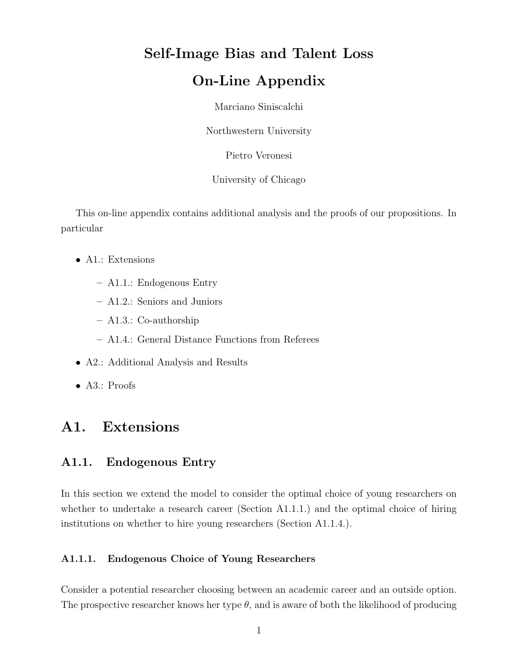# Self-Image Bias and Talent Loss

## On-Line Appendix

Marciano Siniscalchi

Northwestern University

Pietro Veronesi

University of Chicago

This on-line appendix contains additional analysis and the proofs of our propositions. In particular

- A1.: Extensions
	- A1.1.: Endogenous Entry
	- A1.2.: Seniors and Juniors
	- A1.3.: Co-authorship
	- A1.4.: General Distance Functions from Referees
- A2.: Additional Analysis and Results
- A3.: Proofs

## A1. Extensions

## A1.1. Endogenous Entry

In this section we extend the model to consider the optimal choice of young researchers on whether to undertake a research career (Section A1.1.1.) and the optimal choice of hiring institutions on whether to hire young researchers (Section A1.1.4.).

### A1.1.1. Endogenous Choice of Young Researchers

Consider a potential researcher choosing between an academic career and an outside option. The prospective researcher knows her type  $\theta$ , and is aware of both the likelihood of producing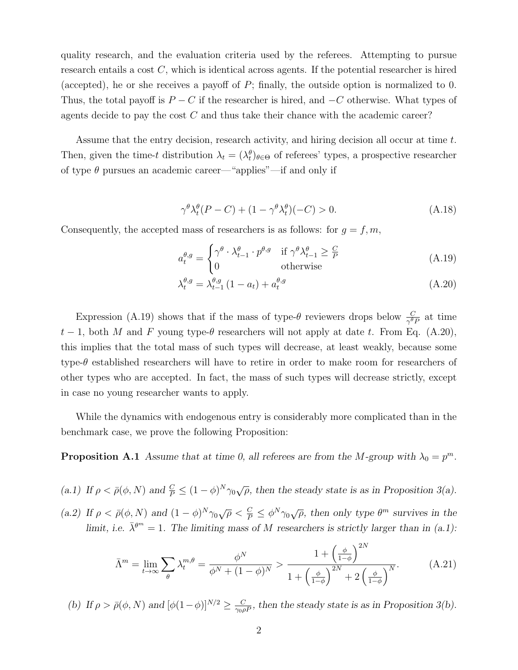quality research, and the evaluation criteria used by the referees. Attempting to pursue research entails a cost  $C$ , which is identical across agents. If the potential researcher is hired (accepted), he or she receives a payoff of  $P$ ; finally, the outside option is normalized to 0. Thus, the total payoff is  $P - C$  if the researcher is hired, and  $-C$  otherwise. What types of agents decide to pay the cost  $C$  and thus take their chance with the academic career?

Assume that the entry decision, research activity, and hiring decision all occur at time  $t$ . Then, given the time-t distribution  $\lambda_t = (\lambda_t^{\theta})_{\theta \in \Theta}$  of referees' types, a prospective researcher of type  $\theta$  pursues an academic career—"applies"—if and only if

$$
\gamma^{\theta} \lambda_t^{\theta} (P - C) + (1 - \gamma^{\theta} \lambda_t^{\theta}) (-C) > 0.
$$
 (A.18)

Consequently, the accepted mass of researchers is as follows: for  $g = f, m$ ,

$$
a_t^{\theta,g} = \begin{cases} \gamma^{\theta} \cdot \lambda_{t-1}^{\theta} \cdot p^{\theta,g} & \text{if } \gamma^{\theta} \lambda_{t-1}^{\theta} \ge \frac{C}{P} \\ 0 & \text{otherwise} \end{cases}
$$
 (A.19)

$$
\lambda_t^{\theta,g} = \lambda_{t-1}^{\theta,g} \left(1 - a_t\right) + a_t^{\theta,g} \tag{A.20}
$$

Expression (A.19) shows that if the mass of type- $\theta$  reviewers drops below  $\frac{C}{\gamma^{\theta}P}$  at time  $t-1$ , both M and F young type- $\theta$  researchers will not apply at date t. From Eq. (A.20), this implies that the total mass of such types will decrease, at least weakly, because some type-θ established researchers will have to retire in order to make room for researchers of other types who are accepted. In fact, the mass of such types will decrease strictly, except in case no young researcher wants to apply.

While the dynamics with endogenous entry is considerably more complicated than in the benchmark case, we prove the following Proposition:

**Proposition A.1** Assume that at time 0, all referees are from the M-group with  $\lambda_0 = p^m$ .

(a.1) If  $\rho < \bar{\rho}(\phi, N)$  and  $\frac{C}{P} \leq (1 - \phi)^N \gamma_0 \sqrt{\rho}$ , then the steady state is as in Proposition 3(a).

(a.2) If  $\rho < \bar{\rho}(\phi, N)$  and  $(1 - \phi)^N \gamma_0 \sqrt{\rho} < \frac{C}{P} \leq \phi^N \gamma_0 \sqrt{\rho}$ , then only type  $\theta^m$  survives in the limit, i.e.  $\bar{\lambda}^{\theta^m} = 1$ . The limiting mass of M researchers is strictly larger than in (a.1):

$$
\bar{\Lambda}^m = \lim_{t \to \infty} \sum_{\theta} \lambda_t^{m,\theta} = \frac{\phi^N}{\phi^N + (1 - \phi)^N} > \frac{1 + \left(\frac{\phi}{1 - \phi}\right)^{2N}}{1 + \left(\frac{\phi}{1 - \phi}\right)^{2N} + 2\left(\frac{\phi}{1 - \phi}\right)^N}.
$$
 (A.21)

 $0<sub>N</sub>$ 

(b) If  $\rho > \bar{\rho}(\phi, N)$  and  $[\phi(1-\phi)]^{N/2} \ge \frac{C}{\gamma_0 \rho P}$ , then the steady state is as in Proposition 3(b).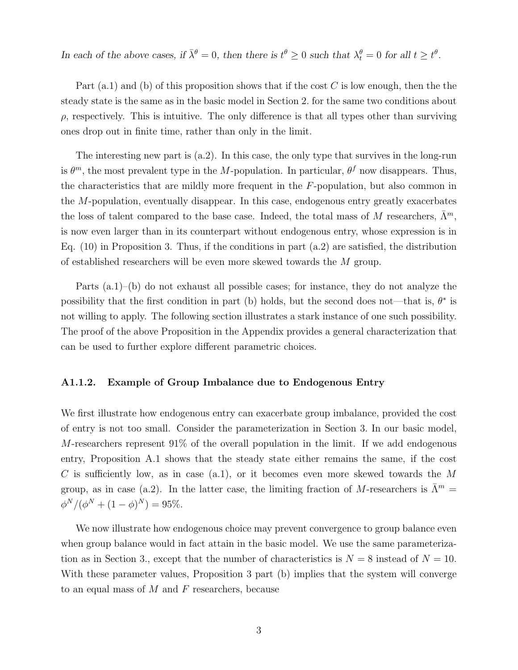In each of the above cases, if  $\bar{\lambda}^{\theta} = 0$ , then there is  $t^{\theta} \ge 0$  such that  $\lambda_t^{\theta} = 0$  for all  $t \ge t^{\theta}$ .

Part  $(a.1)$  and (b) of this proposition shows that if the cost C is low enough, then the the steady state is the same as in the basic model in Section 2. for the same two conditions about  $\rho$ , respectively. This is intuitive. The only difference is that all types other than surviving ones drop out in finite time, rather than only in the limit.

The interesting new part is  $(a.2)$ . In this case, the only type that survives in the long-run is  $\theta^m$ , the most prevalent type in the M-population. In particular,  $\theta^f$  now disappears. Thus, the characteristics that are mildly more frequent in the  $F$ -population, but also common in the M-population, eventually disappear. In this case, endogenous entry greatly exacerbates the loss of talent compared to the base case. Indeed, the total mass of M researchers,  $\bar{\Lambda}^m$ , is now even larger than in its counterpart without endogenous entry, whose expression is in Eq.  $(10)$  in Proposition 3. Thus, if the conditions in part  $(a.2)$  are satisfied, the distribution of established researchers will be even more skewed towards the M group.

Parts (a.1)–(b) do not exhaust all possible cases; for instance, they do not analyze the possibility that the first condition in part (b) holds, but the second does not—that is,  $\theta^*$  is not willing to apply. The following section illustrates a stark instance of one such possibility. The proof of the above Proposition in the Appendix provides a general characterization that can be used to further explore different parametric choices.

### A1.1.2. Example of Group Imbalance due to Endogenous Entry

We first illustrate how endogenous entry can exacerbate group imbalance, provided the cost of entry is not too small. Consider the parameterization in Section 3. In our basic model, M-researchers represent 91% of the overall population in the limit. If we add endogenous entry, Proposition A.1 shows that the steady state either remains the same, if the cost C is sufficiently low, as in case  $(a.1)$ , or it becomes even more skewed towards the M group, as in case (a.2). In the latter case, the limiting fraction of M-researchers is  $\bar{\Lambda}^m$  =  $\phi^N/(\phi^N+(1-\phi)^N)=95\%.$ 

We now illustrate how endogenous choice may prevent convergence to group balance even when group balance would in fact attain in the basic model. We use the same parameterization as in Section 3., except that the number of characteristics is  $N = 8$  instead of  $N = 10$ . With these parameter values, Proposition 3 part (b) implies that the system will converge to an equal mass of  $M$  and  $F$  researchers, because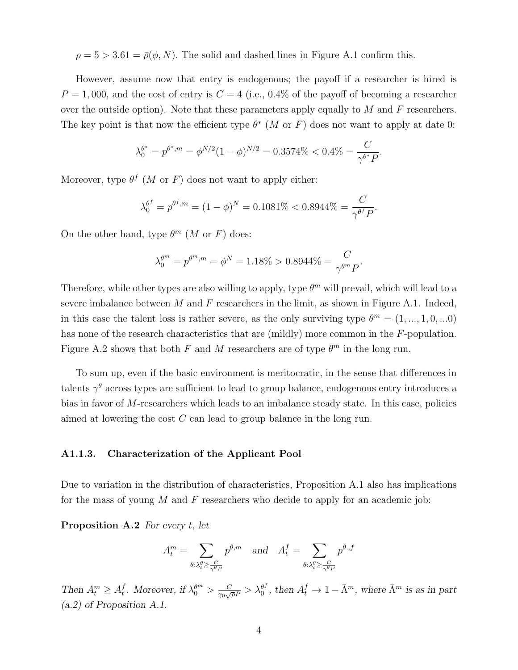$\rho = 5 > 3.61 = \bar{\rho}(\phi, N)$ . The solid and dashed lines in Figure A.1 confirm this.

However, assume now that entry is endogenous; the payoff if a researcher is hired is  $P = 1,000$ , and the cost of entry is  $C = 4$  (i.e., 0.4% of the payoff of becoming a researcher over the outside option). Note that these parameters apply equally to  $M$  and  $\overline{F}$  researchers. The key point is that now the efficient type  $\theta^*$  (M or F) does not want to apply at date 0:

$$
\lambda_0^{\theta^*} = p^{\theta^*,m} = \phi^{N/2} (1-\phi)^{N/2} = 0.3574\% < 0.4\% = \frac{C}{\gamma^{\theta^*} P}.
$$

Moreover, type  $\theta^f$  (*M* or *F*) does not want to apply either:

$$
\lambda_0^{\theta^f} = p^{\theta^f, m} = (1 - \phi)^N = 0.1081\% < 0.8944\% = \frac{C}{\gamma^{\theta^f} P}.
$$

On the other hand, type  $\theta^m$  (*M* or *F*) does:

$$
\lambda_0^{\theta^m} = p^{\theta^m, m} = \phi^N = 1.18\% > 0.8944\% = \frac{C}{\gamma^{\theta^m} P}.
$$

Therefore, while other types are also willing to apply, type  $\theta^m$  will prevail, which will lead to a severe imbalance between  $M$  and  $F$  researchers in the limit, as shown in Figure A.1. Indeed, in this case the talent loss is rather severe, as the only surviving type  $\theta^m = (1, ..., 1, 0, ...0)$ has none of the research characteristics that are (mildly) more common in the F-population. Figure A.2 shows that both F and M researchers are of type  $\theta^m$  in the long run.

To sum up, even if the basic environment is meritocratic, in the sense that differences in talents  $\gamma^{\theta}$  across types are sufficient to lead to group balance, endogenous entry introduces a bias in favor of M-researchers which leads to an imbalance steady state. In this case, policies aimed at lowering the cost C can lead to group balance in the long run.

#### A1.1.3. Characterization of the Applicant Pool

Due to variation in the distribution of characteristics, Proposition A.1 also has implications for the mass of young  $M$  and  $F$  researchers who decide to apply for an academic job:

**Proposition A.2** For every  $t$ , let

$$
A_t^m = \sum_{\theta:\lambda_t^{\theta} \ge \frac{C}{\gamma^{\theta}P}} p^{\theta,m} \quad \text{and} \quad A_t^f = \sum_{\theta:\lambda_t^{\theta} \ge \frac{C}{\gamma^{\theta}P}} p^{\theta,f}
$$

Then  $A_t^m \geq A_t^f$ f. Moreover, if  $\lambda_0^{\theta^m} > \frac{C}{\gamma_0 \sqrt{2}}$  $\frac{C}{\gamma_0\sqrt{\rho}P}>\lambda_0^{\theta^f}$  $\delta_0^f$ , then  $A_t^f \to 1 - \bar{\Lambda}^m$ , where  $\bar{\Lambda}^m$  is as in part (a.2) of Proposition A.1.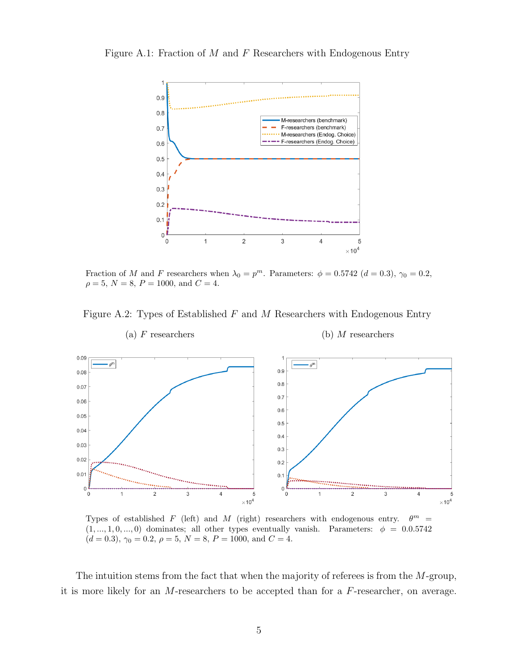Figure A.1: Fraction of  $M$  and  $F$  Researchers with Endogenous Entry



Fraction of M and F researchers when  $\lambda_0 = p^m$ . Parameters:  $\phi = 0.5742$   $(d = 0.3)$ ,  $\gamma_0 = 0.2$ ,  $\rho = 5, N = 8, P = 1000, \text{ and } C = 4.$ 

Figure A.2: Types of Established  $F$  and  $M$  Researchers with Endogenous Entry



(a) F researchers (b) M researchers

Types of established  $F$  (left) and  $M$  (right) researchers with endogenous entry.  $\theta^m$  =  $(1, ..., 1, 0, ..., 0)$  dominates; all other types eventually vanish. Parameters:  $\phi = 0.0.5742$  $(d = 0.3), \gamma_0 = 0.2, \rho = 5, N = 8, P = 1000, \text{ and } C = 4.$ 

The intuition stems from the fact that when the majority of referees is from the M-group, it is more likely for an  $M$ -researchers to be accepted than for a  $F$ -researcher, on average.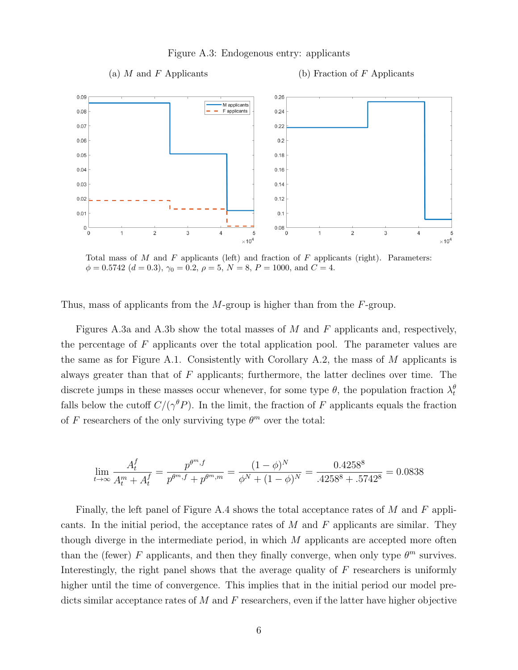Figure A.3: Endogenous entry: applicants

 $0.09$  $0.26$ M applicants F applicants 0.08  $0.24$ 0.07  $0.22$  $0.06$  $0.2$  $0.05$  $0.18$  $0.04$  $0.16$  $0.03$  $0.14$  $0.02$  $0.12$  $0.01$  $0.1$  $0.08$  $\mathbf 0$  $\overline{\mathbf{c}}$  $\overline{0}$ 3  $\overline{4}$  $\ensuremath{\mathsf{3}}$  $\overline{\mathcal{L}}$  $\mathbf{1}$ 5  $\mathbf{0}$ 1  $\overline{\mathbf{c}}$ 5  $\times 10^4$  $\times$  10<sup>4</sup>

Total mass of  $M$  and  $F$  applicants (left) and fraction of  $F$  applicants (right). Parameters:  $\phi = 0.5742$   $(d = 0.3)$ ,  $\gamma_0 = 0.2$ ,  $\rho = 5$ ,  $N = 8$ ,  $P = 1000$ , and  $C = 4$ .

Thus, mass of applicants from the M-group is higher than from the F-group.

Figures A.3a and A.3b show the total masses of M and F applicants and, respectively, the percentage of F applicants over the total application pool. The parameter values are the same as for Figure A.1. Consistently with Corollary A.2, the mass of  $M$  applicants is always greater than that of F applicants; furthermore, the latter declines over time. The discrete jumps in these masses occur whenever, for some type  $\theta$ , the population fraction  $\lambda_t^{\theta}$ falls below the cutoff  $C/(\gamma^{\theta} P)$ . In the limit, the fraction of F applicants equals the fraction of F researchers of the only surviving type  $\theta^m$  over the total:

$$
\lim_{t \to \infty} \frac{A_t^f}{A_t^m + A_t^f} = \frac{p^{\theta^m, f}}{p^{\theta^m, f} + p^{\theta^m, m}} = \frac{(1 - \phi)^N}{\phi^N + (1 - \phi)^N} = \frac{0.4258^8}{.4258^8 + .5742^8} = 0.0838
$$

Finally, the left panel of Figure A.4 shows the total acceptance rates of M and F applicants. In the initial period, the acceptance rates of  $M$  and  $F$  applicants are similar. They though diverge in the intermediate period, in which  $M$  applicants are accepted more often than the (fewer) F applicants, and then they finally converge, when only type  $\theta^m$  survives. Interestingly, the right panel shows that the average quality of  $F$  researchers is uniformly higher until the time of convergence. This implies that in the initial period our model predicts similar acceptance rates of M and F researchers, even if the latter have higher objective

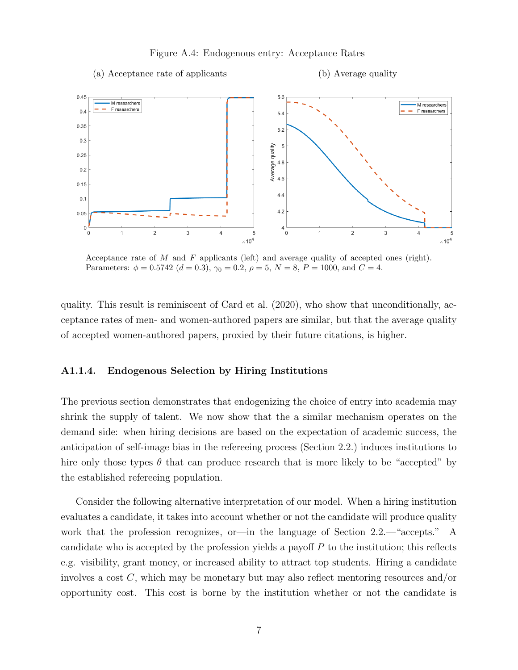#### Figure A.4: Endogenous entry: Acceptance Rates

(a) Acceptance rate of applicants (b) Average quality



Acceptance rate of  $M$  and  $F$  applicants (left) and average quality of accepted ones (right). Parameters:  $\phi = 0.5742$   $(d = 0.3)$ ,  $\gamma_0 = 0.2$ ,  $\rho = 5$ ,  $N = 8$ ,  $P = 1000$ , and  $C = 4$ .

quality. This result is reminiscent of Card et al. (2020), who show that unconditionally, acceptance rates of men- and women-authored papers are similar, but that the average quality of accepted women-authored papers, proxied by their future citations, is higher.

#### A1.1.4. Endogenous Selection by Hiring Institutions

The previous section demonstrates that endogenizing the choice of entry into academia may shrink the supply of talent. We now show that the a similar mechanism operates on the demand side: when hiring decisions are based on the expectation of academic success, the anticipation of self-image bias in the refereeing process (Section 2.2.) induces institutions to hire only those types  $\theta$  that can produce research that is more likely to be "accepted" by the established refereeing population.

Consider the following alternative interpretation of our model. When a hiring institution evaluates a candidate, it takes into account whether or not the candidate will produce quality work that the profession recognizes, or—in the language of Section 2.2.—"accepts." A candidate who is accepted by the profession yields a payoff  $P$  to the institution; this reflects e.g. visibility, grant money, or increased ability to attract top students. Hiring a candidate involves a cost  $C$ , which may be monetary but may also reflect mentoring resources and/or opportunity cost. This cost is borne by the institution whether or not the candidate is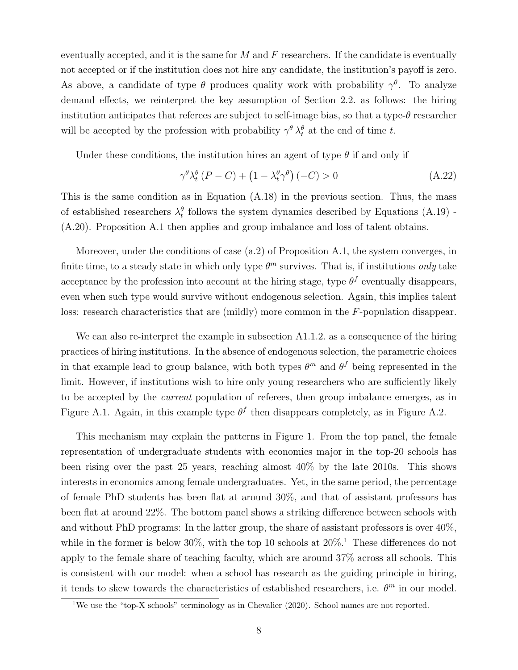eventually accepted, and it is the same for  $M$  and  $F$  researchers. If the candidate is eventually not accepted or if the institution does not hire any candidate, the institution's payoff is zero. As above, a candidate of type  $\theta$  produces quality work with probability  $\gamma^{\theta}$ . To analyze demand effects, we reinterpret the key assumption of Section 2.2. as follows: the hiring institution anticipates that referees are subject to self-image bias, so that a type- $\theta$  researcher will be accepted by the profession with probability  $\gamma^{\theta} \lambda_t^{\theta}$  at the end of time t.

Under these conditions, the institution hires an agent of type  $\theta$  if and only if

$$
\gamma^{\theta} \lambda_{t}^{\theta} (P - C) + (1 - \lambda_{t}^{\theta} \gamma^{\theta}) (-C) > 0
$$
\n(A.22)

This is the same condition as in Equation (A.18) in the previous section. Thus, the mass of established researchers  $\lambda_t^{\theta}$  follows the system dynamics described by Equations (A.19) -(A.20). Proposition A.1 then applies and group imbalance and loss of talent obtains.

Moreover, under the conditions of case (a.2) of Proposition A.1, the system converges, in finite time, to a steady state in which only type  $\theta^m$  survives. That is, if institutions only take acceptance by the profession into account at the hiring stage, type  $\theta^f$  eventually disappears, even when such type would survive without endogenous selection. Again, this implies talent loss: research characteristics that are (mildly) more common in the F-population disappear.

We can also re-interpret the example in subsection A1.1.2. as a consequence of the hiring practices of hiring institutions. In the absence of endogenous selection, the parametric choices in that example lead to group balance, with both types  $\theta^m$  and  $\theta^f$  being represented in the limit. However, if institutions wish to hire only young researchers who are sufficiently likely to be accepted by the current population of referees, then group imbalance emerges, as in Figure A.1. Again, in this example type  $\theta^f$  then disappears completely, as in Figure A.2.

This mechanism may explain the patterns in Figure 1. From the top panel, the female representation of undergraduate students with economics major in the top-20 schools has been rising over the past 25 years, reaching almost 40% by the late 2010s. This shows interests in economics among female undergraduates. Yet, in the same period, the percentage of female PhD students has been flat at around 30%, and that of assistant professors has been flat at around 22%. The bottom panel shows a striking difference between schools with and without PhD programs: In the latter group, the share of assistant professors is over  $40\%$ , while in the former is below 30%, with the top 10 schools at  $20\%$ .<sup>1</sup> These differences do not apply to the female share of teaching faculty, which are around 37% across all schools. This is consistent with our model: when a school has research as the guiding principle in hiring, it tends to skew towards the characteristics of established researchers, i.e.  $\theta^m$  in our model.

<sup>&</sup>lt;sup>1</sup>We use the "top-X schools" terminology as in Chevalier (2020). School names are not reported.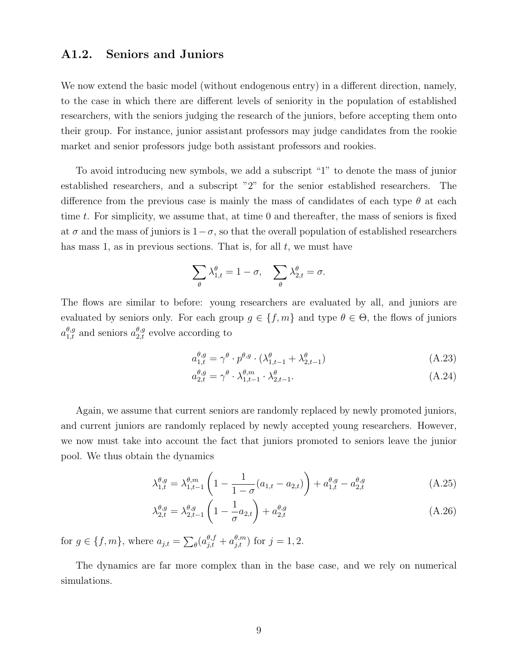## A1.2. Seniors and Juniors

We now extend the basic model (without endogenous entry) in a different direction, namely, to the case in which there are different levels of seniority in the population of established researchers, with the seniors judging the research of the juniors, before accepting them onto their group. For instance, junior assistant professors may judge candidates from the rookie market and senior professors judge both assistant professors and rookies.

To avoid introducing new symbols, we add a subscript "1" to denote the mass of junior established researchers, and a subscript "2" for the senior established researchers. The difference from the previous case is mainly the mass of candidates of each type  $\theta$  at each time t. For simplicity, we assume that, at time  $0$  and thereafter, the mass of seniors is fixed at  $\sigma$  and the mass of juniors is  $1-\sigma$ , so that the overall population of established researchers has mass 1, as in previous sections. That is, for all  $t$ , we must have

$$
\sum_{\theta}\lambda_{1,t}^{\theta}=1-\sigma,\quad \sum_{\theta}\lambda_{2,t}^{\theta}=\sigma.
$$

The flows are similar to before: young researchers are evaluated by all, and juniors are evaluated by seniors only. For each group  $g \in \{f, m\}$  and type  $\theta \in \Theta$ , the flows of juniors  $a_{1,t}^{\theta,g}$  and seniors  $a_{2,t}^{\theta,g}$  evolve according to

$$
a_{1,t}^{\theta,g} = \gamma^{\theta} \cdot p^{\theta,g} \cdot (\lambda_{1,t-1}^{\theta} + \lambda_{2,t-1}^{\theta})
$$
\n(A.23)

$$
a_{2,t}^{\theta,g} = \gamma^{\theta} \cdot \lambda_{1,t-1}^{\theta,m} \cdot \lambda_{2,t-1}^{\theta}.
$$
\n(A.24)

Again, we assume that current seniors are randomly replaced by newly promoted juniors, and current juniors are randomly replaced by newly accepted young researchers. However, we now must take into account the fact that juniors promoted to seniors leave the junior pool. We thus obtain the dynamics

$$
\lambda_{1,t}^{\theta,g} = \lambda_{1,t-1}^{\theta,m} \left( 1 - \frac{1}{1-\sigma} (a_{1,t} - a_{2,t}) \right) + a_{1,t}^{\theta,g} - a_{2,t}^{\theta,g}
$$
\n(A.25)

$$
\lambda_{2,t}^{\theta,g} = \lambda_{2,t-1}^{\theta,g} \left( 1 - \frac{1}{\sigma} a_{2,t} \right) + a_{2,t}^{\theta,g} \tag{A.26}
$$

for  $g \in \{f, m\}$ , where  $a_{j,t} = \sum_{\theta} (a_{j,t}^{\theta, f} + a_{j,t}^{\theta, m})$  for  $j = 1, 2$ .

The dynamics are far more complex than in the base case, and we rely on numerical simulations.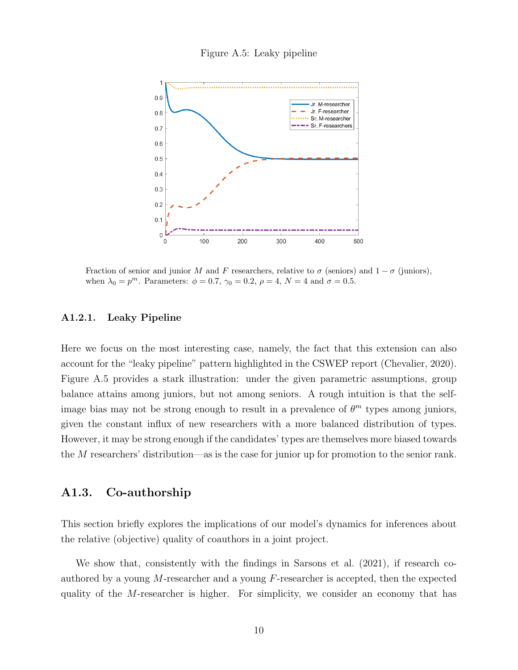



Fraction of senior and junior M and F researchers, relative to  $\sigma$  (seniors) and  $1 - \sigma$  (juniors), when  $\lambda_0 = p^m$ . Parameters:  $\phi = 0.7$ ,  $\gamma_0 = 0.2$ ,  $\rho = 4$ ,  $N = 4$  and  $\sigma = 0.5$ .

#### A1.2.1. Leaky Pipeline

Here we focus on the most interesting case, namely, the fact that this extension can also account for the "leaky pipeline" pattern highlighted in the CSWEP report (Chevalier, 2020). Figure A.5 provides a stark illustration: under the given parametric assumptions, group balance attains among juniors, but not among seniors. A rough intuition is that the selfimage bias may not be strong enough to result in a prevalence of  $\theta^m$  types among juniors, given the constant influx of new researchers with a more balanced distribution of types. However, it may be strong enough if the candidates' types are themselves more biased towards the M researchers' distribution—as is the case for junior up for promotion to the senior rank.

## A1.3. Co-authorship

This section briefly explores the implications of our model's dynamics for inferences about the relative (objective) quality of coauthors in a joint project.

We show that, consistently with the findings in Sarsons et al. (2021), if research coauthored by a young M-researcher and a young F-researcher is accepted, then the expected quality of the M-researcher is higher. For simplicity, we consider an economy that has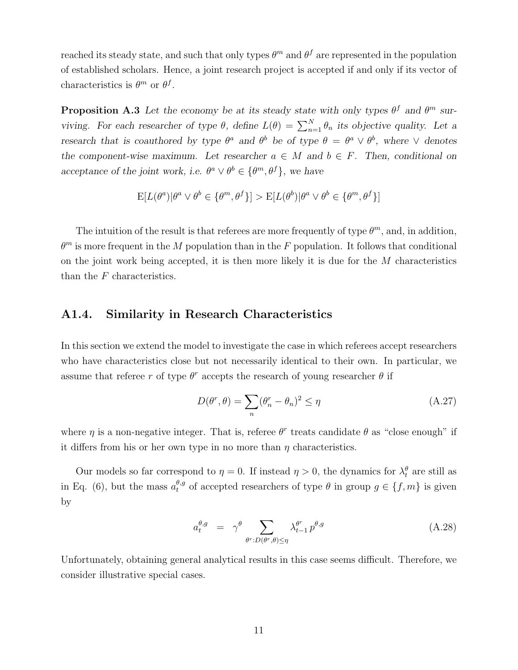reached its steady state, and such that only types  $\theta^m$  and  $\theta^f$  are represented in the population of established scholars. Hence, a joint research project is accepted if and only if its vector of characteristics is  $\theta^m$  or  $\theta^f$ .

**Proposition A.3** Let the economy be at its steady state with only types  $\theta^f$  and  $\theta^m$  surviving. For each researcher of type  $\theta$ , define  $L(\theta) = \sum_{n=1}^{N} \theta_n$  its objective quality. Let a research that is coauthored by type  $\theta^a$  and  $\theta^b$  be of type  $\theta = \theta^a \vee \theta^b$ , where  $\vee$  denotes the component-wise maximum. Let researcher  $a \in M$  and  $b \in F$ . Then, conditional on acceptance of the joint work, i.e.  $\theta^a \vee \theta^b \in {\theta^m, \theta^f}$ , we have

$$
E[L(\theta^a)|\theta^a \lor \theta^b \in {\theta^m, \theta^f}] > E[L(\theta^b)|\theta^a \lor \theta^b \in {\theta^m, \theta^f}]
$$

The intuition of the result is that referees are more frequently of type  $\theta^m$ , and, in addition,  $\theta^m$  is more frequent in the M population than in the F population. It follows that conditional on the joint work being accepted, it is then more likely it is due for the  $M$  characteristics than the F characteristics.

### A1.4. Similarity in Research Characteristics

In this section we extend the model to investigate the case in which referees accept researchers who have characteristics close but not necessarily identical to their own. In particular, we assume that referee r of type  $\theta^r$  accepts the research of young researcher  $\theta$  if

$$
D(\theta^r, \theta) = \sum_{n} (\theta_n^r - \theta_n)^2 \le \eta \tag{A.27}
$$

where  $\eta$  is a non-negative integer. That is, referee  $\theta^r$  treats candidate  $\theta$  as "close enough" if it differs from his or her own type in no more than  $\eta$  characteristics.

Our models so far correspond to  $\eta = 0$ . If instead  $\eta > 0$ , the dynamics for  $\lambda_t^{\theta}$  are still as in Eq. (6), but the mass  $a_t^{\theta,g}$  of accepted researchers of type  $\theta$  in group  $g \in \{f, m\}$  is given by

$$
a_t^{\theta,g} = \gamma^{\theta} \sum_{\theta^r : D(\theta^r,\theta) \le \eta} \lambda_{t-1}^{\theta^r} p^{\theta,g} \tag{A.28}
$$

Unfortunately, obtaining general analytical results in this case seems difficult. Therefore, we consider illustrative special cases.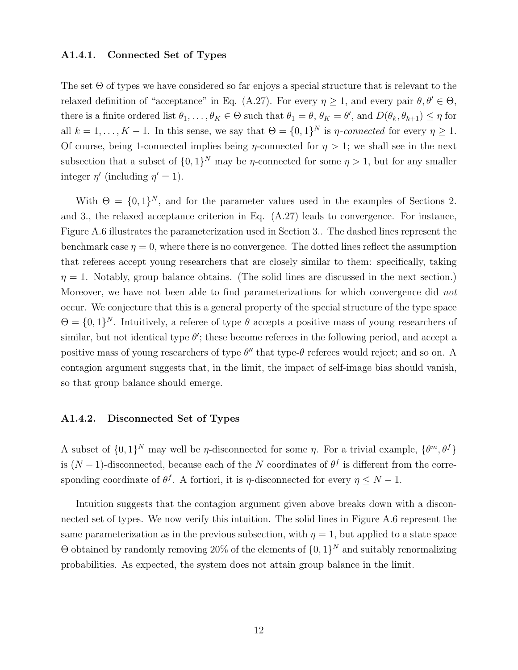#### A1.4.1. Connected Set of Types

The set  $\Theta$  of types we have considered so far enjoys a special structure that is relevant to the relaxed definition of "acceptance" in Eq. (A.27). For every  $\eta \geq 1$ , and every pair  $\theta, \theta' \in \Theta$ , there is a finite ordered list  $\theta_1, \ldots, \theta_K \in \Theta$  such that  $\theta_1 = \theta, \theta_K = \theta'$ , and  $D(\theta_k, \theta_{k+1}) \leq \eta$  for all  $k = 1, ..., K - 1$ . In this sense, we say that  $\Theta = \{0, 1\}^N$  is *η*-connected for every  $\eta \geq 1$ . Of course, being 1-connected implies being  $\eta$ -connected for  $\eta > 1$ ; we shall see in the next subsection that a subset of  $\{0,1\}^N$  may be *η*-connected for some  $\eta > 1$ , but for any smaller integer  $\eta'$  (including  $\eta' = 1$ ).

With  $\Theta = \{0, 1\}^N$ , and for the parameter values used in the examples of Sections 2. and 3., the relaxed acceptance criterion in Eq. (A.27) leads to convergence. For instance, Figure A.6 illustrates the parameterization used in Section 3.. The dashed lines represent the benchmark case  $\eta = 0$ , where there is no convergence. The dotted lines reflect the assumption that referees accept young researchers that are closely similar to them: specifically, taking  $\eta = 1$ . Notably, group balance obtains. (The solid lines are discussed in the next section.) Moreover, we have not been able to find parameterizations for which convergence did not occur. We conjecture that this is a general property of the special structure of the type space  $\Theta = \{0,1\}^N$ . Intuitively, a referee of type  $\theta$  accepts a positive mass of young researchers of similar, but not identical type  $\theta'$ ; these become referees in the following period, and accept a positive mass of young researchers of type  $\theta''$  that type- $\theta$  referees would reject; and so on. A contagion argument suggests that, in the limit, the impact of self-image bias should vanish, so that group balance should emerge.

#### A1.4.2. Disconnected Set of Types

A subset of  $\{0,1\}^N$  may well be *η*-disconnected for some *η*. For a trivial example,  $\{\theta^m, \theta^f\}$ is  $(N-1)$ -disconnected, because each of the N coordinates of  $\theta^f$  is different from the corresponding coordinate of  $\theta^f$ . A fortiori, it is  $\eta$ -disconnected for every  $\eta \leq N-1$ .

Intuition suggests that the contagion argument given above breaks down with a disconnected set of types. We now verify this intuition. The solid lines in Figure A.6 represent the same parameterization as in the previous subsection, with  $\eta = 1$ , but applied to a state space  $\Theta$  obtained by randomly removing 20% of the elements of  $\{0,1\}^N$  and suitably renormalizing probabilities. As expected, the system does not attain group balance in the limit.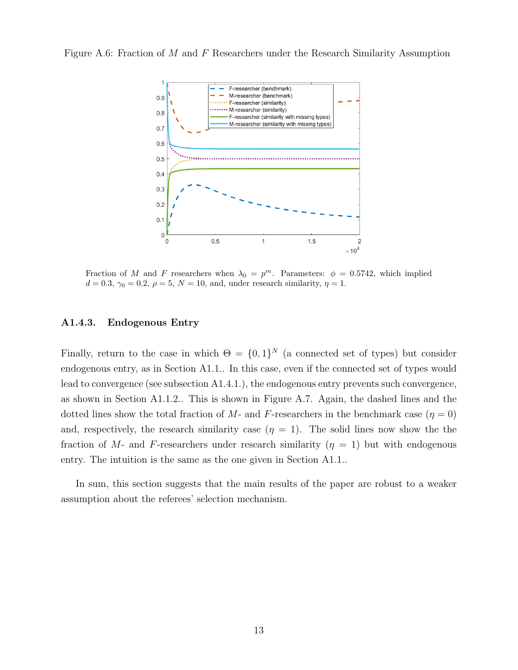Figure A.6: Fraction of M and F Researchers under the Research Similarity Assumption



Fraction of M and F researchers when  $\lambda_0 = p^m$ . Parameters:  $\phi = 0.5742$ , which implied  $d = 0.3$ ,  $\gamma_0 = 0.2$ ,  $\rho = 5$ ,  $N = 10$ , and, under research similarity,  $\eta = 1$ .

#### A1.4.3. Endogenous Entry

Finally, return to the case in which  $\Theta = \{0,1\}^N$  (a connected set of types) but consider endogenous entry, as in Section A1.1.. In this case, even if the connected set of types would lead to convergence (see subsection A1.4.1.), the endogenous entry prevents such convergence, as shown in Section A1.1.2.. This is shown in Figure A.7. Again, the dashed lines and the dotted lines show the total fraction of M- and F-researchers in the benchmark case ( $\eta = 0$ ) and, respectively, the research similarity case  $(\eta = 1)$ . The solid lines now show the the fraction of M- and F-researchers under research similarity  $(\eta = 1)$  but with endogenous entry. The intuition is the same as the one given in Section A1.1..

In sum, this section suggests that the main results of the paper are robust to a weaker assumption about the referees' selection mechanism.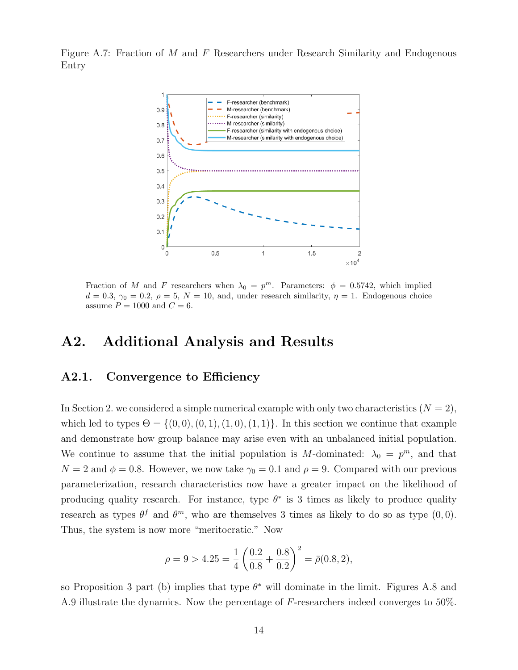Figure A.7: Fraction of M and F Researchers under Research Similarity and Endogenous Entry



Fraction of M and F researchers when  $\lambda_0 = p^m$ . Parameters:  $\phi = 0.5742$ , which implied  $d = 0.3, \gamma_0 = 0.2, \rho = 5, N = 10, \text{ and, under research similarity}, \eta = 1.$  Endogenous choice assume  $P = 1000$  and  $C = 6$ .

## A2. Additional Analysis and Results

## A2.1. Convergence to Efficiency

In Section 2. we considered a simple numerical example with only two characteristics  $(N = 2)$ , which led to types  $\Theta = \{(0, 0), (0, 1), (1, 0), (1, 1)\}\.$  In this section we continue that example and demonstrate how group balance may arise even with an unbalanced initial population. We continue to assume that the initial population is M-dominated:  $\lambda_0 = p^m$ , and that  $N = 2$  and  $\phi = 0.8$ . However, we now take  $\gamma_0 = 0.1$  and  $\rho = 9$ . Compared with our previous parameterization, research characteristics now have a greater impact on the likelihood of producing quality research. For instance, type  $\theta^*$  is 3 times as likely to produce quality research as types  $\theta^f$  and  $\theta^m$ , who are themselves 3 times as likely to do so as type  $(0,0)$ . Thus, the system is now more "meritocratic." Now

$$
\rho = 9 > 4.25 = \frac{1}{4} \left( \frac{0.2}{0.8} + \frac{0.8}{0.2} \right)^2 = \bar{\rho}(0.8, 2),
$$

so Proposition 3 part (b) implies that type  $\theta^*$  will dominate in the limit. Figures A.8 and A.9 illustrate the dynamics. Now the percentage of F-researchers indeed converges to 50%.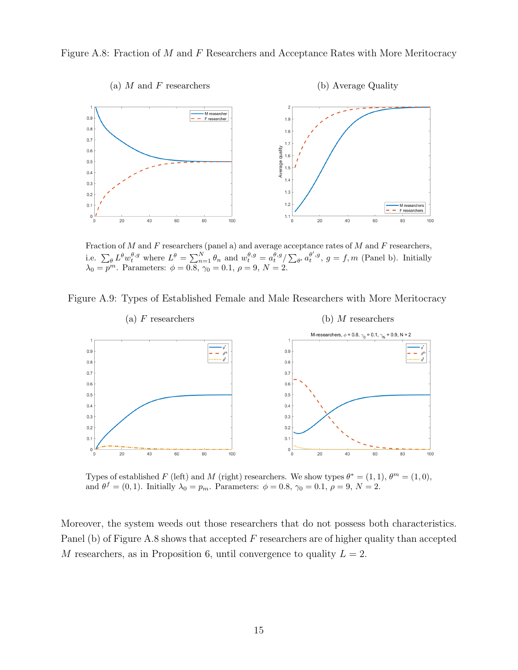Figure A.8: Fraction of M and F Researchers and Acceptance Rates with More Meritocracy



Fraction of  $M$  and  $F$  researchers (panel a) and average acceptance rates of  $M$  and  $F$  researchers, i.e.  $\sum_{\theta} L^{\theta} w_t^{\theta,g}$  where  $L^{\theta} = \sum_{n=1}^{N} \theta_n$  and  $w_t^{\theta,g} = a_t^{\theta,g} / \sum_{\theta'} a_t^{\theta',g}, g = f, m$  (Panel b). Initially  $\lambda_0 = p^m$ . Parameters:  $\phi = 0.8, \gamma_0 = 0.1, \rho = 9, N = 2$ .

Figure A.9: Types of Established Female and Male Researchers with More Meritocracy



Types of established F (left) and M (right) researchers. We show types  $\theta^* = (1,1), \theta^m = (1,0),$ and  $\theta^f = (0, 1)$ . Initially  $\lambda_0 = p_m$ . Parameters:  $\phi = 0.8$ ,  $\gamma_0 = 0.1$ ,  $\rho = 9$ ,  $N = 2$ .

Moreover, the system weeds out those researchers that do not possess both characteristics. Panel (b) of Figure A.8 shows that accepted  $F$  researchers are of higher quality than accepted M researchers, as in Proposition 6, until convergence to quality  $L = 2$ .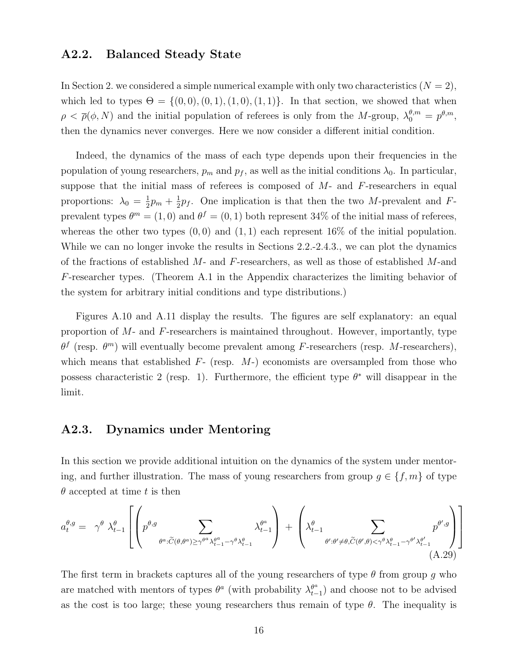## A2.2. Balanced Steady State

In Section 2. we considered a simple numerical example with only two characteristics  $(N = 2)$ , which led to types  $\Theta = \{(0,0), (0,1), (1,0), (1,1)\}.$  In that section, we showed that when  $\rho < \bar{\rho}(\phi, N)$  and the initial population of referees is only from the M-group,  $\lambda_0^{\theta, m} = p^{\theta, m}$ , then the dynamics never converges. Here we now consider a different initial condition.

Indeed, the dynamics of the mass of each type depends upon their frequencies in the population of young researchers,  $p_m$  and  $p_f$ , as well as the initial conditions  $\lambda_0$ . In particular, suppose that the initial mass of referees is composed of  $M$ - and  $F$ -researchers in equal proportions:  $\lambda_0 = \frac{1}{2}$  $rac{1}{2}p_m + \frac{1}{2}$  $\frac{1}{2}p_f$ . One implication is that then the two M-prevalent and Fprevalent types  $\theta^m = (1,0)$  and  $\theta^f = (0,1)$  both represent 34% of the initial mass of referees, whereas the other two types  $(0, 0)$  and  $(1, 1)$  each represent 16% of the initial population. While we can no longer invoke the results in Sections 2.2.-2.4.3., we can plot the dynamics of the fractions of established  $M$ - and  $F$ -researchers, as well as those of established  $M$ - and F-researcher types. (Theorem A.1 in the Appendix characterizes the limiting behavior of the system for arbitrary initial conditions and type distributions.)

Figures A.10 and A.11 display the results. The figures are self explanatory: an equal proportion of  $M$ - and  $F$ -researchers is maintained throughout. However, importantly, type  $\theta^f$  (resp.  $\theta^m$ ) will eventually become prevalent among F-researchers (resp. M-researchers), which means that established  $F-$  (resp.  $M-$ ) economists are oversampled from those who possess characteristic 2 (resp. 1). Furthermore, the efficient type  $\theta^*$  will disappear in the limit.

## A2.3. Dynamics under Mentoring

In this section we provide additional intuition on the dynamics of the system under mentoring, and further illustration. The mass of young researchers from group  $g \in \{f, m\}$  of type  $\theta$  accepted at time t is then

$$
a_{t}^{\theta,g} = \gamma^{\theta} \lambda_{t-1}^{\theta} \left[ \left( p^{\theta,g} \sum_{\theta^{a}:\widetilde{C}(\theta,\theta^{a}) \geq \gamma^{\theta^{a}} \lambda_{t-1}^{\theta^{a}} - \gamma^{\theta} \lambda_{t-1}^{\theta}}^{\theta^{a}} \right) + \left( \lambda_{t-1}^{\theta} \sum_{\theta':\theta' \neq \theta,\widetilde{C}(\theta',\theta) < \gamma^{\theta} \lambda_{t-1}^{\theta} - \gamma^{\theta'} \lambda_{t-1}^{\theta'} \right) \right]
$$
\n(A.29)

The first term in brackets captures all of the young researchers of type  $\theta$  from group g who are matched with mentors of types  $\theta^a$  (with probability  $\lambda_t^{\theta^a}$  $\binom{\theta^a}{t-1}$  and choose not to be advised as the cost is too large; these young researchers thus remain of type  $\theta$ . The inequality is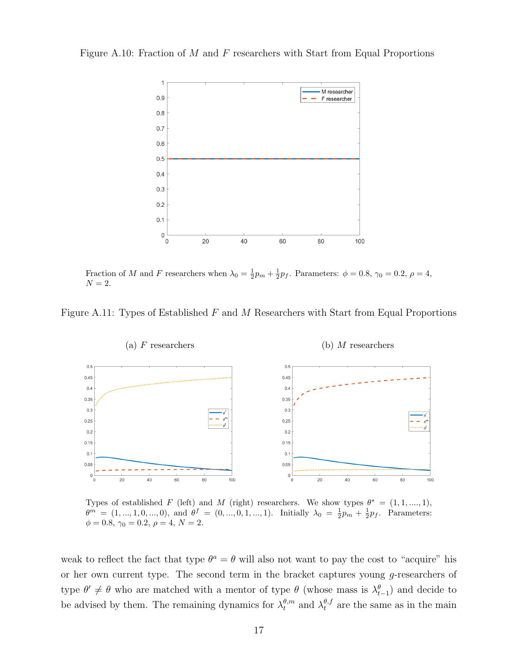Figure A.10: Fraction of M and F researchers with Start from Equal Proportions



Fraction of M and F researchers when  $\lambda_0 = \frac{1}{2}p_m + \frac{1}{2}p_f$ . Parameters:  $\phi = 0.8$ ,  $\gamma_0 = 0.2$ ,  $\rho = 4$ ,  $N = 2$ .

Figure A.11: Types of Established  $F$  and  $M$  Researchers with Start from Equal Proportions



Types of established F (left) and M (right) researchers. We show types  $\theta^* = (1, 1, ..., 1)$ ,  $\theta^m = (1, ..., 1, 0, ..., 0)$ , and  $\theta^f = (0, ..., 0, 1, ..., 1)$ . Initially  $\lambda_0 = \frac{1}{2}p_m + \frac{1}{2}p_f$ . Parameters:  $\phi = 0.8, \gamma_0 = 0.2, \rho = 4, N = 2.$ 

weak to reflect the fact that type  $\theta^a = \theta$  will also not want to pay the cost to "acquire" his or her own current type. The second term in the bracket captures young g-researchers of type  $\theta' \neq \theta$  who are matched with a mentor of type  $\theta$  (whose mass is  $\lambda_{t-1}^{\theta}$ ) and decide to be advised by them. The remaining dynamics for  $\lambda_t^{\theta,m}$  and  $\lambda_t^{\theta,f}$  are the same as in the main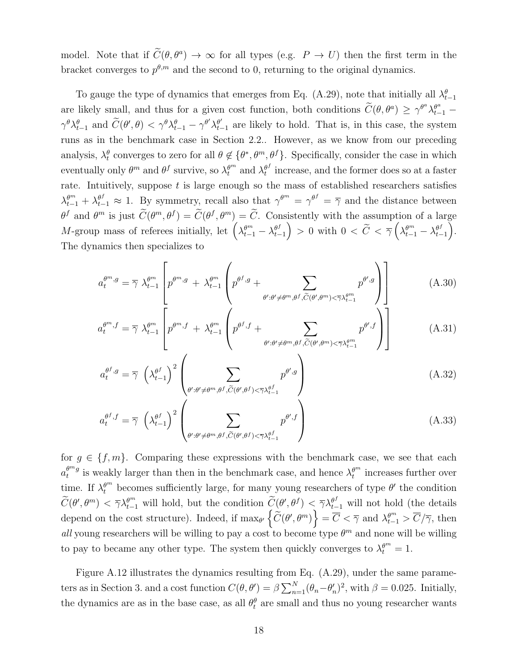model. Note that if  $\tilde{C}(\theta, \theta^a) \to \infty$  for all types (e.g.  $P \to U$ ) then the first term in the bracket converges to  $p^{\theta,m}$  and the second to 0, returning to the original dynamics.

To gauge the type of dynamics that emerges from Eq. (A.29), note that initially all  $\lambda_{t-1}^{\theta}$ are likely small, and thus for a given cost function, both conditions  $\widetilde{C}(\theta, \theta^a) \geq \gamma^{\theta^a} \lambda_{t-1}^{\theta^a}$  $\gamma^{\theta}\lambda_{t-1}^{\theta}$  and  $\widetilde{C}(\theta', \theta) < \gamma^{\theta}\lambda_{t-1}^{\theta} - \gamma^{\theta'}\lambda_{t-1}^{\theta'}$  $t_{t-1}^{\theta'}$  are likely to hold. That is, in this case, the system runs as in the benchmark case in Section 2.2.. However, as we know from our preceding analysis,  $\lambda_t^{\theta}$  converges to zero for all  $\theta \notin \{\theta^*, \theta^m, \theta^f\}$ . Specifically, consider the case in which eventually only  $\theta^m$  and  $\theta^f$  survive, so  $\lambda_t^{\theta^m}$  and  $\lambda_t^{\theta^f}$  $t_t^{\theta}$  increase, and the former does so at a faster rate. Intuitively, suppose  $t$  is large enough so the mass of established researchers satisfies  $\lambda_{t-1}^{\theta^m} + \lambda_{t-1}^{\theta^f} \approx 1$ . By symmetry, recall also that  $\gamma^{\theta^m} = \gamma^{\theta^f} = \overline{\gamma}$  and the distance between  $\theta^f$  and  $\theta^m$  is just  $\widetilde{C}(\theta^m, \theta^f) = \widetilde{C}(\theta^f, \theta^m) = \widetilde{C}$ . Consistently with the assumption of a large M-group mass of referees initially, let  $\left(\lambda_{t-1}^{\theta^m}-\lambda_{t-1}^{\theta^f}\right)$  $\begin{pmatrix} \theta^f \ t^{-1} \end{pmatrix} > 0$  with  $0 < \widetilde{C} < \overline{\gamma} \left( \lambda_{t-1}^{\theta^m} - \lambda_{t-1}^{\theta^f} \right)$  $_{t-1}^{\theta^f}$ . The dynamics then specializes to

$$
a_t^{\theta^m, g} = \overline{\gamma} \ \lambda_{t-1}^{\theta^m} \left[ p^{\theta^m, g} + \lambda_{t-1}^{\theta^m} \left( p^{\theta^f, g} + \sum_{\theta': \theta' \neq \theta^m, \theta^f, \widetilde{C}(\theta', \theta^m) < \overline{\gamma} \lambda_{t-1}^{\theta^m}} p^{\theta', g} \right) \right] \tag{A.30}
$$

$$
a_t^{\theta^m, f} = \overline{\gamma} \ \lambda_{t-1}^{\theta^m} \left[ p^{\theta^m, f} + \lambda_{t-1}^{\theta^m} \left( p^{\theta^f, f} + \sum_{\theta': \theta' \neq \theta^m, \theta^f, \widetilde{C}(\theta', \theta^m) < \overline{\gamma} \lambda_{t-1}^{\theta^m}} p^{\theta', f} \right) \right] \tag{A.31}
$$

$$
a_t^{\theta^f,g} = \overline{\gamma} \left( \lambda_{t-1}^{\theta^f} \right)^2 \left( \sum_{\theta': \theta' \neq \theta^m, \theta^f, \widetilde{C}(\theta', \theta^f) < \overline{\gamma} \lambda_{t-1}^{\theta^f}} p^{\theta',g} \right) \tag{A.32}
$$

$$
a_t^{\theta^f, f} = \overline{\gamma} \left(\lambda_{t-1}^{\theta^f}\right)^2 \left(\sum_{\theta': \theta' \neq \theta^m, \theta^f, \widetilde{C}(\theta', \theta^f) < \overline{\gamma}\lambda_{t-1}^{\theta^f}} p^{\theta', f}\right) \tag{A.33}
$$

for  $g \in \{f, m\}$ . Comparing these expressions with the benchmark case, we see that each  $a_t^{\theta^{m}g}$  $t^{\theta^{m}g}$  is weakly larger than then in the benchmark case, and hence  $\lambda_t^{\theta^{m}}$  increases further over time. If  $\lambda_t^{\theta^m}$  becomes sufficiently large, for many young researchers of type  $\theta'$  the condition  $\widetilde{C}(\theta', \theta^m) < \overline{\gamma} \lambda_{t-1}^{\theta^m}$  will hold, but the condition  $\widetilde{C}(\theta', \theta^f) < \overline{\gamma} \lambda_{t-1}^{\theta^f}$  will not hold (the details depend on the cost structure). Indeed, if  $\max_{\theta'} \left\{ \widetilde{C}(\theta', \theta^m) \right\} = \overline{C} < \overline{\gamma}$  and  $\lambda_{t-1}^{\theta^m} > \overline{C}/\overline{\gamma}$ , then all young researchers will be willing to pay a cost to become type  $\theta^m$  and none will be willing to pay to became any other type. The system then quickly converges to  $\lambda_t^{\theta^m} = 1$ .

Figure A.12 illustrates the dynamics resulting from Eq. (A.29), under the same parameters as in Section 3. and a cost function  $C(\theta, \theta') = \beta \sum_{n=1}^{N} (\theta_n - \theta'_n)^2$ , with  $\beta = 0.025$ . Initially, the dynamics are as in the base case, as all  $\theta_t^{\theta}$  are small and thus no young researcher wants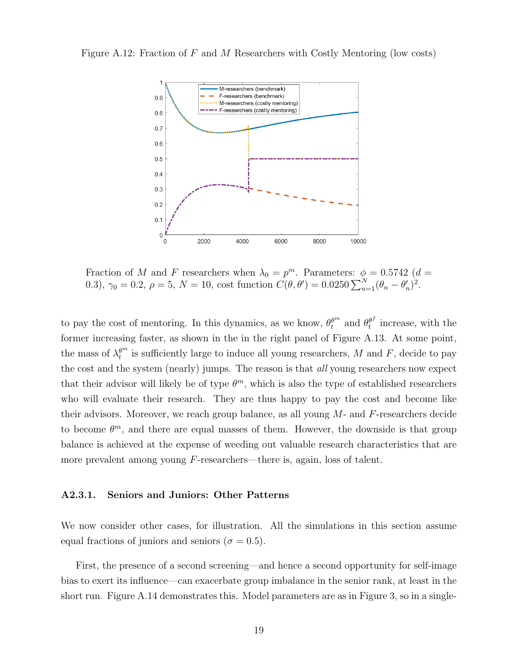



Fraction of M and F researchers when  $\lambda_0 = p^m$ . Parameters:  $\phi = 0.5742$  (d = 0.3),  $\gamma_0 = 0.2$ ,  $\rho = 5$ ,  $N = 10$ , cost function  $C(\theta, \theta') = 0.0250 \sum_{n=1}^{N} (\theta_n - \theta'_n)^2$ .

to pay the cost of mentoring. In this dynamics, as we know,  $\theta_t^{\theta^m}$  and  $\theta_t^{\theta^f}$  $t<sup>θ<sub>t</sub></sup>$  increase, with the former increasing faster, as shown in the in the right panel of Figure A.13. At some point, the mass of  $\lambda_t^{\theta^m}$  is sufficiently large to induce all young researchers, M and F, decide to pay the cost and the system (nearly) jumps. The reason is that all young researchers now expect that their advisor will likely be of type  $\theta^m$ , which is also the type of established researchers who will evaluate their research. They are thus happy to pay the cost and become like their advisors. Moreover, we reach group balance, as all young  $M$ - and  $F$ -researchers decide to become  $\theta^m$ , and there are equal masses of them. However, the downside is that group balance is achieved at the expense of weeding out valuable research characteristics that are more prevalent among young F-researchers—there is, again, loss of talent.

#### A2.3.1. Seniors and Juniors: Other Patterns

We now consider other cases, for illustration. All the simulations in this section assume equal fractions of juniors and seniors ( $\sigma = 0.5$ ).

First, the presence of a second screening—and hence a second opportunity for self-image bias to exert its influence—can exacerbate group imbalance in the senior rank, at least in the short run. Figure A.14 demonstrates this. Model parameters are as in Figure 3, so in a single-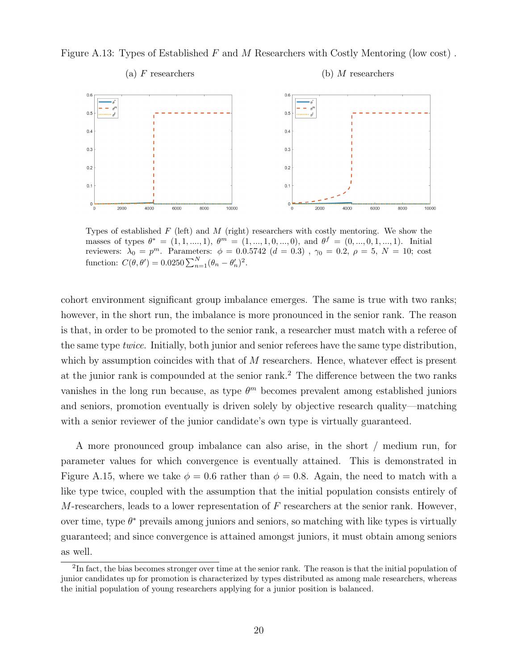Figure A.13: Types of Established F and M Researchers with Costly Mentoring (low cost) .



Types of established  $F$  (left) and  $M$  (right) researchers with costly mentoring. We show the masses of types  $\theta^* = (1, 1, ..., 1), \ \theta^m = (1, ..., 1, 0, ..., 0), \text{ and } \theta^f = (0, ..., 0, 1, ..., 1).$  Initial reviewers:  $\lambda_0 = p^m$ . Parameters:  $\phi = 0.0.5742$  (d = 0.3),  $\gamma_0 = 0.2$ ,  $\rho = 5$ , N = 10; cost function:  $C(\theta, \theta') = 0.0250 \sum_{n=1}^{N} (\theta_n - \theta'_n)^2$ .

cohort environment significant group imbalance emerges. The same is true with two ranks; however, in the short run, the imbalance is more pronounced in the senior rank. The reason is that, in order to be promoted to the senior rank, a researcher must match with a referee of the same type *twice*. Initially, both junior and senior referees have the same type distribution, which by assumption coincides with that of M researchers. Hence, whatever effect is present at the junior rank is compounded at the senior rank.<sup>2</sup> The difference between the two ranks vanishes in the long run because, as type  $\theta^m$  becomes prevalent among established juniors and seniors, promotion eventually is driven solely by objective research quality—matching with a senior reviewer of the junior candidate's own type is virtually guaranteed.

A more pronounced group imbalance can also arise, in the short / medium run, for parameter values for which convergence is eventually attained. This is demonstrated in Figure A.15, where we take  $\phi = 0.6$  rather than  $\phi = 0.8$ . Again, the need to match with a like type twice, coupled with the assumption that the initial population consists entirely of  $M$ -researchers, leads to a lower representation of  $F$  researchers at the senior rank. However, over time, type  $\theta^*$  prevails among juniors and seniors, so matching with like types is virtually guaranteed; and since convergence is attained amongst juniors, it must obtain among seniors as well.

<sup>&</sup>lt;sup>2</sup>In fact, the bias becomes stronger over time at the senior rank. The reason is that the initial population of junior candidates up for promotion is characterized by types distributed as among male researchers, whereas the initial population of young researchers applying for a junior position is balanced.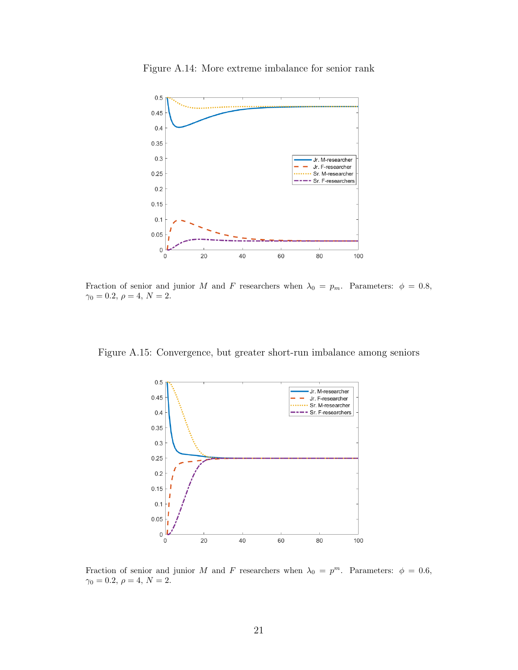

Figure A.14: More extreme imbalance for senior rank

Fraction of senior and junior M and F researchers when  $\lambda_0 = p_m$ . Parameters:  $\phi = 0.8$ ,  $\gamma_0=0.2,\,\rho=4,\,N=2.$ 

Figure A.15: Convergence, but greater short-run imbalance among seniors



Fraction of senior and junior M and F researchers when  $\lambda_0 = p^m$ . Parameters:  $\phi = 0.6$ ,  $\gamma_0 = 0.2, \, \rho = 4, \, N = 2.$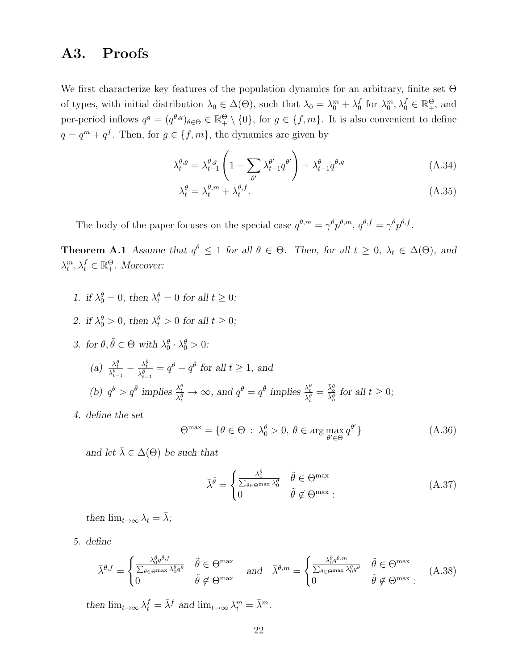## A3. Proofs

We first characterize key features of the population dynamics for an arbitrary, finite set Θ of types, with initial distribution  $\lambda_0 \in \Delta(\Theta)$ , such that  $\lambda_0 = \lambda_0^m + \lambda_0^f$  $\delta_0^f$  for  $\lambda_0^m, \lambda_0^f \in \mathbb{R}^{\Theta}_+$ , and per-period inflows  $q^g = (q^{\theta,g})_{\theta \in \Theta} \in \mathbb{R}^{\Theta}_+ \setminus \{0\}$ , for  $g \in \{f,m\}$ . It is also convenient to define  $q = q<sup>m</sup> + q<sup>f</sup>$ . Then, for  $g \in \{f, m\}$ , the dynamics are given by

$$
\lambda_t^{\theta,g} = \lambda_{t-1}^{\theta,g} \left( 1 - \sum_{\theta'} \lambda_{t-1}^{\theta'} q^{\theta'} \right) + \lambda_{t-1}^{\theta} q^{\theta,g} \tag{A.34}
$$

$$
\lambda_t^{\theta} = \lambda_t^{\theta, m} + \lambda_t^{\theta, f}.\tag{A.35}
$$

The body of the paper focuses on the special case  $q^{\theta,m} = \gamma^{\theta} p^{\theta,m}, q^{\theta,f} = \gamma^{\theta} p^{\theta,f}$ .

**Theorem A.1** Assume that  $q^{\theta} \leq 1$  for all  $\theta \in \Theta$ . Then, for all  $t \geq 0$ ,  $\lambda_t \in \Delta(\Theta)$ , and  $\lambda_t^m, \lambda_t^f \in \mathbb{R}_+^{\Theta}$ . Moreover:

- 1. if  $\lambda_0^{\theta} = 0$ , then  $\lambda_t^{\theta} = 0$  for all  $t \geq 0$ ;
- 2. if  $\lambda_0^{\theta} > 0$ , then  $\lambda_t^{\theta} > 0$  for all  $t \geq 0$ ;
- 3. for  $\theta, \tilde{\theta} \in \Theta$  with  $\lambda_0^{\theta} \cdot \lambda_0^{\tilde{\theta}} > 0$ : (a)  $\frac{\lambda_t^{\theta}}{\lambda_{t-1}^{\theta}} - \frac{\lambda_t^{\tilde{\theta}}}{\lambda_{t-1}^{\tilde{\theta}}}$  $\frac{\lambda_t^{\theta}}{\lambda_{t-1}^{\tilde{\theta}}} = q^{\theta} - q^{\tilde{\theta}}$  for all  $t \ge 1$ , and (b)  $q^{\theta} > q^{\tilde{\theta}}$  implies  $\frac{\lambda_t^{\theta}}{\lambda_t^{\tilde{\theta}}}$  $\frac{\lambda_t^{\theta}}{\lambda_t^{\tilde{\theta}}} \to \infty$ , and  $q^{\theta} = q^{\tilde{\theta}}$  implies  $\frac{\lambda_t^{\theta}}{\lambda_t^{\tilde{\theta}}}$  $\frac{\lambda_t^{\theta}}{\lambda_t^{\tilde{\theta}}} = \frac{\bar{\lambda}_{o}^{\theta}}{\bar{\lambda}_{o}^{\tilde{\theta}}}$  for all  $t \geq 0$ ;
- 4. define the set

$$
\Theta^{\max} = \{ \theta \in \Theta \, : \, \lambda_0^{\theta} > 0, \, \theta \in \arg \max_{\theta' \in \Theta} q^{\theta'} \} \tag{A.36}
$$

and let  $\bar{\lambda} \in \Delta(\Theta)$  be such that

$$
\bar{\lambda}^{\tilde{\theta}} = \begin{cases}\n\frac{\lambda_0^{\tilde{\theta}}}{\sum_{\theta \in \Theta^{\max}} \lambda_0^{\theta}} & \tilde{\theta} \in \Theta^{\max} \\
0 & \tilde{\theta} \notin \Theta^{\max}.\n\end{cases} (A.37)
$$

then  $\lim_{t\to\infty}\lambda_t=\bar{\lambda}$ ;

5. define

$$
\bar{\lambda}^{\tilde{\theta},f} = \begin{cases}\n\frac{\lambda_0^{\tilde{\theta}} q^{\tilde{\theta},f}}{\sum_{\theta \in \Theta^{\max}} \lambda_0^{\theta} q^{\theta}} & \tilde{\theta} \in \Theta^{\max} \\
0 & \tilde{\theta} \notin \Theta^{\max}\n\end{cases} \text{ and } \bar{\lambda}^{\tilde{\theta},m} = \begin{cases}\n\frac{\lambda_0^{\tilde{\theta}} q^{\tilde{\theta},m}}{\sum_{\theta \in \Theta^{\max}} \lambda_0^{\theta} q^{\theta}} & \tilde{\theta} \in \Theta^{\max} \\
0 & \tilde{\theta} \notin \Theta^{\max}:\n\end{cases} (A.38)
$$

then  $\lim_{t\to\infty} \lambda_t^f = \bar{\lambda}^f$  and  $\lim_{t\to\infty} \lambda_t^m = \bar{\lambda}^m$ .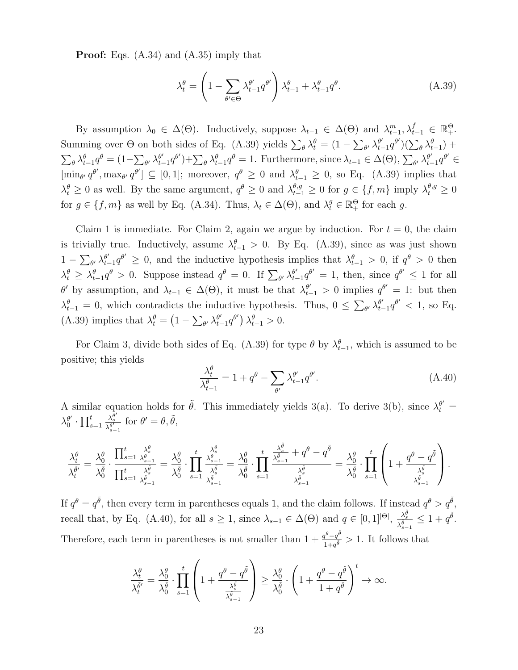Proof: Eqs. (A.34) and (A.35) imply that

$$
\lambda_t^{\theta} = \left(1 - \sum_{\theta' \in \Theta} \lambda_{t-1}^{\theta'} q^{\theta'}\right) \lambda_{t-1}^{\theta} + \lambda_{t-1}^{\theta} q^{\theta}.
$$
\n(A.39)

By assumption  $\lambda_0 \in \Delta(\Theta)$ . Inductively, suppose  $\lambda_{t-1} \in \Delta(\Theta)$  and  $\lambda_{t-1}^m, \lambda_{t-1}^f \in \mathbb{R}_+^{\Theta}$ . Summing over  $\Theta$  on both sides of Eq. (A.39) yields  $\sum_{\theta} \lambda_t^{\theta} = (1 - \sum_{\theta'} \lambda_t^{\theta'}$  $_{t-1}^{\theta'} q^{\theta'})(\sum_{\theta} \lambda_{t-1}^{\theta}) +$  $\sum_{\theta} \lambda_{t-1}^{\theta} q^{\theta} = (1 - \sum_{\theta'} \lambda_{t-1}^{\theta'}$  $\theta'_{t-1}q^{\theta'}$  +  $\sum_{\theta} \lambda_{t-1}^{\theta} q^{\theta} = 1$ . Furthermore, since  $\lambda_{t-1} \in \Delta(\Theta)$ ,  $\sum_{\theta'} \lambda_{t-1}^{\theta'}$  $\frac{\theta'}{t-1}q^{\theta'} \in$  $[\min_{\theta'} q^{\theta'}], \max_{\theta'} q^{\theta'}] \subseteq [0,1];$  moreover,  $q^{\theta} \geq 0$  and  $\lambda_{t-1}^{\theta} \geq 0$ , so Eq. (A.39) implies that  $\lambda_t^{\theta} \geq 0$  as well. By the same argument,  $q^{\theta} \geq 0$  and  $\lambda_{t-1}^{\theta,g} \geq 0$  for  $g \in \{f, m\}$  imply  $\lambda_t^{\theta,g} \geq 0$ for  $g \in \{f, m\}$  as well by Eq. (A.34). Thus,  $\lambda_t \in \Delta(\Theta)$ , and  $\lambda_t^g \in \mathbb{R}_+^{\Theta}$  for each g.

Claim 1 is immediate. For Claim 2, again we argue by induction. For  $t = 0$ , the claim is trivially true. Inductively, assume  $\lambda_{t-1}^{\theta} > 0$ . By Eq. (A.39), since as was just shown  $1-\sum_{\theta'}\lambda^{\theta'}_{t}$  $\theta'_{t-1}q^{\theta'} \geq 0$ , and the inductive hypothesis implies that  $\lambda_{t-1}^{\theta} > 0$ , if  $q^{\theta} > 0$  then  $\lambda_t^{\theta} \geq \lambda_{t-1}^{\theta} q^{\theta} > 0$ . Suppose instead  $q^{\theta} = 0$ . If  $\sum_{\theta} \lambda_{t-1}^{\theta}$  $\frac{\theta'}{t-1}q^{\theta'}=1$ , then, since  $q^{\theta'}\leq 1$  for all θ' by assumption, and  $λ_{t-1} ∈ Δ(Θ)$ , it must be that  $λ_{t-1}^{θ'} > 0$  implies  $q^{θ'} = 1$ : but then  $\lambda_{t-1}^{\theta} = 0$ , which contradicts the inductive hypothesis. Thus,  $0 \le \sum_{\theta} \lambda_{t-1}^{\theta}$  $\frac{\theta'}{t-1}q^{\theta'} < 1$ , so Eq. (A.39) implies that  $\lambda_t^{\theta} = \left(1 - \sum_{\theta'} \lambda_{t}^{\theta'}\right)$  $_{t-1}^{\theta'}q^{\theta'}\big)\lambda_{t-1}^{\theta}>0.$ 

For Claim 3, divide both sides of Eq. (A.39) for type  $\theta$  by  $\lambda_{t-1}^{\theta}$ , which is assumed to be positive; this yields

$$
\frac{\lambda_t^{\theta}}{\lambda_{t-1}^{\theta}} = 1 + q^{\theta} - \sum_{\theta'} \lambda_{t-1}^{\theta'} q^{\theta'}.
$$
\n(A.40)

A similar equation holds for  $\tilde{\theta}$ . This immediately yields 3(a). To derive 3(b), since  $\lambda_t^{\theta'} =$  $\lambda_0^{\theta'}$  $\int_0^{\theta'} \cdot \prod_{s=1}^t$  $\frac{\lambda_s^{\bar{\theta}'} }{\lambda_{s-1}^{\theta'}}$  for  $\theta' = \theta, \tilde{\theta},$ 

$$
\frac{\lambda^{\theta}_t}{\lambda^{\tilde{\theta}'}_t} = \frac{\lambda^{\theta}_0}{\lambda^{\tilde{\theta}}_0} \cdot \frac{\prod_{s=1}^t \frac{\lambda^{\theta}_{s}}{\lambda^{\tilde{\theta}}_{s-1}}}{\prod_{s=1}^t \frac{\lambda^{\tilde{\theta}}_s}{\lambda^{\tilde{\theta}}_{s-1}}} = \frac{\lambda^{\theta}_0}{\lambda^{\tilde{\theta}}_0} \cdot \prod_{s=1}^t \frac{\frac{\lambda^{\theta}_{s}}{\lambda^{\tilde{\theta}}_{s-1}}}{\lambda^{\tilde{\theta}}_0} = \frac{\lambda^{\theta}_0}{\lambda^{\tilde{\theta}}_0} \cdot \prod_{s=1}^t \frac{\frac{\lambda^{\tilde{\theta}}_{s}}{\lambda^{\tilde{\theta}}_{s-1}} + q^{\theta} - q^{\tilde{\theta}}}{\frac{\lambda^{\tilde{\theta}}_s}{\lambda^{\tilde{\theta}}_{s-1}}} = \frac{\lambda^{\theta}_0}{\lambda^{\tilde{\theta}}_0} \cdot \prod_{s=1}^t \left(1 + \frac{q^{\theta} - q^{\tilde{\theta}}}{\frac{\lambda^{\tilde{\theta}}_s}{\lambda^{\tilde{\theta}}_{s-1}}}\right).
$$

If  $q^{\theta} = q^{\tilde{\theta}}$ , then every term in parentheses equals 1, and the claim follows. If instead  $q^{\theta} > q^{\tilde{\theta}}$ , recall that, by Eq. (A.40), for all  $s \geq 1$ , since  $\lambda_{s-1} \in \Delta(\Theta)$  and  $q \in [0,1]^{|\Theta|}$ ,  $\frac{\lambda_s^{\tilde{g}}}{\lambda_s^{\tilde{g}}}$  $\frac{\lambda_s^{\theta}}{\lambda_{s-1}^{\tilde{\theta}}} \leq 1 + q^{\tilde{\theta}}.$ Therefore, each term in parentheses is not smaller than  $1 + \frac{q^{\theta}-q^{\tilde{\theta}}}{1-q^{\tilde{\theta}}}$  $\frac{q^{\nu}-q^{\nu}}{1+q^{\tilde{\theta}}} > 1$ . It follows that

$$
\frac{\lambda^{\theta}_t}{\lambda^{\tilde{\theta}'}_t} = \frac{\lambda^{\theta}_0}{\lambda^{\tilde{\theta}}_0} \cdot \prod_{s=1}^t \left( 1 + \frac{q^{\theta} - q^{\tilde{\theta}}}{\frac{\lambda^{\tilde{\theta}}_s}{\lambda^{\tilde{\theta}}_{s-1}}} \right) \geq \frac{\lambda^{\theta}_0}{\lambda^{\tilde{\theta}}_0} \cdot \left( 1 + \frac{q^{\theta} - q^{\tilde{\theta}}}{1 + q^{\tilde{\theta}}} \right)^t \to \infty.
$$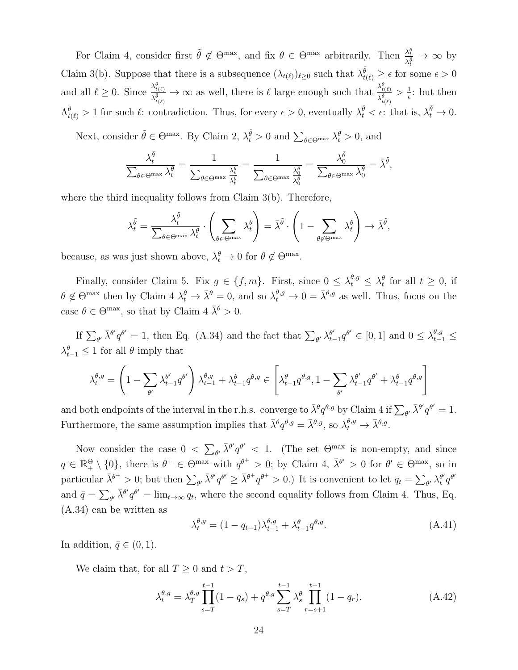For Claim 4, consider first  $\tilde{\theta} \notin \Theta^{\max}$ , and fix  $\theta \in \Theta^{\max}$  arbitrarily. Then  $\frac{\lambda_i^{\theta}}{\sqrt{\theta}}$  $\frac{\lambda_t^2}{\lambda_t^{\tilde{\theta}}} \to \infty$  by Claim 3(b). Suppose that there is a subsequence  $(\lambda_{t(\ell)})_{\ell \geq 0}$  such that  $\lambda_{t(\ell)}^{\tilde{\theta}} \geq \epsilon$  for some  $\epsilon > 0$ and all  $\ell \geq 0$ . Since  $\frac{\lambda_{t(\ell)}^{\theta}}{\lambda_{t}^{\theta}}$  $\frac{\lambda_{t(\ell)}^{\theta}}{\lambda_{t(\ell)}^{\theta}} \to \infty$  as well, there is  $\ell$  large enough such that  $\frac{\lambda_{t(\ell)}^{\theta}}{\lambda_{t(\ell)}^{\theta}}$  $\frac{\lambda_{t(\ell)}}{\lambda_{t(\ell)}^{\tilde{\theta}}} > \frac{1}{\epsilon}$  $\frac{1}{\epsilon}$ : but then  $\Lambda^{\theta}_{t(\ell)} > 1$  for such  $\ell$ : contradiction. Thus, for every  $\epsilon > 0$ , eventually  $\lambda^{\tilde{\theta}}_t < \epsilon$ : that is,  $\lambda^{\tilde{\theta}}_t \to 0$ .

Next, consider  $\tilde{\theta} \in \Theta^{\max}$ . By Claim 2,  $\lambda_t^{\tilde{\theta}} > 0$  and  $\sum_{\theta \in \Theta^{\max}} \lambda_t^{\theta} > 0$ , and

$$
\frac{\lambda_t^{\tilde{\theta}}}{\sum_{\theta \in \Theta^{\text{max}}} \lambda_t^{\theta}} = \frac{1}{\sum_{\theta \in \Theta^{\text{max}}} \frac{\lambda_t^{\theta}}{\lambda_t^{\frac{\theta}{\theta}}}} = \frac{1}{\sum_{\theta \in \Theta^{\text{max}}} \frac{\lambda_0^{\theta}}{\lambda_0^{\frac{\theta}{\theta}}}} = \frac{\lambda_0^{\tilde{\theta}}}{\sum_{\theta \in \Theta^{\text{max}}} \lambda_0^{\theta}} = \bar{\lambda}^{\tilde{\theta}},
$$

where the third inequality follows from Claim 3(b). Therefore,

$$
\lambda_t^{\tilde{\theta}} = \frac{\lambda_t^{\tilde{\theta}}}{\sum_{\theta \in \Theta^{\max}} \lambda_t^{\theta}} \cdot \left( \sum_{\theta \in \Theta^{\max}} \lambda_t^{\theta} \right) = \bar{\lambda}^{\tilde{\theta}} \cdot \left( 1 - \sum_{\theta \notin \Theta^{\max}} \lambda_t^{\theta} \right) \to \bar{\lambda}^{\tilde{\theta}},
$$

because, as was just shown above,  $\lambda_t^{\theta} \to 0$  for  $\theta \notin \Theta^{\max}$ .

Finally, consider Claim 5. Fix  $g \in \{f, m\}$ . First, since  $0 \leq \lambda_t^{\theta, g} \leq \lambda_t^{\theta}$  for all  $t \geq 0$ , if  $\theta \notin \Theta^{\max}$  then by Claim  $4 \lambda_t^{\theta} \to \bar{\lambda}^{\theta} = 0$ , and so  $\lambda_t^{\theta,g} \to 0 = \bar{\lambda}^{\theta,g}$  as well. Thus, focus on the case  $\theta \in \Theta^{\max}$ , so that by Claim  $4 \overline{\lambda}^{\theta} > 0$ .

If  $\sum_{\theta'} \bar{\lambda}^{\theta'} q^{\theta'} = 1$ , then Eq. (A.34) and the fact that  $\sum_{\theta'} \lambda_{t}^{\theta'}$  $\frac{\theta'}{t-1}q^{\theta'} \in [0,1]$  and  $0 \leq \lambda_{t-1}^{\theta,g} \leq$  $\lambda_{t-1}^{\theta} \leq 1$  for all  $\theta$  imply that

$$
\lambda^{\theta,g}_t=\left(1-\sum_{\theta'}\lambda^{\theta'}_{t-1}q^{\theta'}\right)\lambda^{\theta,g}_{t-1}+\lambda^{\theta}_{t-1}q^{\theta,g}\in\left[\lambda^{\theta}_{t-1}q^{\theta,g},1-\sum_{\theta'}\lambda^{\theta'}_{t-1}q^{\theta'}+\lambda^{\theta}_{t-1}q^{\theta,g}\right]
$$

and both endpoints of the interval in the r.h.s. converge to  $\bar{\lambda}^{\theta} q^{\theta,g}$  by Claim 4 if  $\sum_{\theta'} \bar{\lambda}^{\theta'} q^{\theta'} = 1$ . Furthermore, the same assumption implies that  $\bar{\lambda}^{\theta}q^{\theta,g} = \bar{\lambda}^{\theta,g}$ , so  $\lambda_t^{\theta,g} \to \bar{\lambda}^{\theta,g}$ .

Now consider the case  $0 < \sum_{\theta'} \bar{\lambda}^{\theta'} q^{\theta'} < 1$ . (The set  $\Theta^{\max}$  is non-empty, and since  $q \in \mathbb{R}_{+}^{\Theta} \setminus \{0\}$ , there is  $\theta^{+} \in \Theta^{\max}$  with  $q^{\theta^{+}} > 0$ ; by Claim 4,  $\bar{\lambda}^{\theta'} > 0$  for  $\theta' \in \Theta^{\max}$ , so in particular  $\bar{\lambda}^{\theta^+} > 0$ ; but then  $\sum_{\theta'} \bar{\lambda}^{\theta'} q^{\theta'} \geq \bar{\lambda}^{\theta^+} q^{\theta^+} > 0$ .) It is convenient to let  $q_t = \sum_{\theta'} \lambda_t^{\theta'}$  $\frac{\theta'}{t}q^{\theta'}$ and  $\bar{q} = \sum_{\theta'} \bar{\lambda}^{\theta'} q^{\theta'} = \lim_{t \to \infty} q_t$ , where the second equality follows from Claim 4. Thus, Eq. (A.34) can be written as

$$
\lambda_t^{\theta,g} = (1 - q_{t-1})\lambda_{t-1}^{\theta,g} + \lambda_{t-1}^{\theta} q^{\theta,g}.
$$
\n(A.41)

In addition,  $\bar{q} \in (0, 1)$ .

We claim that, for all  $T \geq 0$  and  $t > T$ ,

$$
\lambda_t^{\theta,g} = \lambda_T^{\theta,g} \prod_{s=T}^{t-1} (1 - q_s) + q^{\theta,g} \sum_{s=T}^{t-1} \lambda_s^{\theta} \prod_{r=s+1}^{t-1} (1 - q_r). \tag{A.42}
$$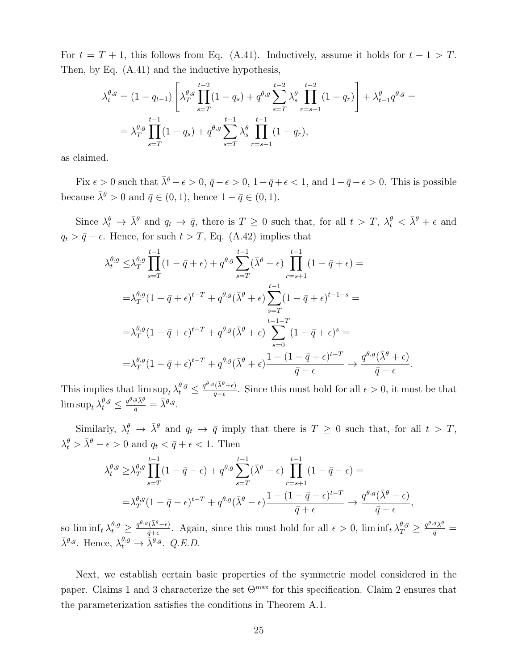For  $t = T + 1$ , this follows from Eq. (A.41). Inductively, assume it holds for  $t - 1 > T$ . Then, by Eq. (A.41) and the inductive hypothesis,

$$
\lambda_t^{\theta,g} = (1 - q_{t-1}) \left[ \lambda_T^{\theta,g} \prod_{s=T}^{t-2} (1 - q_s) + q^{\theta,g} \sum_{s=T}^{t-2} \lambda_s^{\theta} \prod_{r=s+1}^{t-2} (1 - q_r) \right] + \lambda_{t-1}^{\theta} q^{\theta,g} =
$$
  
=  $\lambda_T^{\theta,g} \prod_{s=T}^{t-1} (1 - q_s) + q^{\theta,g} \sum_{s=T}^{t-1} \lambda_s^{\theta} \prod_{r=s+1}^{t-1} (1 - q_r),$ 

as claimed.

Fix  $\epsilon > 0$  such that  $\bar{\lambda}^{\theta} - \epsilon > 0$ ,  $\bar{q} - \epsilon > 0$ ,  $1 - \bar{q} + \epsilon < 1$ , and  $1 - \bar{q} - \epsilon > 0$ . This is possible because  $\bar{\lambda}^{\theta} > 0$  and  $\bar{q} \in (0, 1)$ , hence  $1 - \bar{q} \in (0, 1)$ .

Since  $\lambda_t^{\theta} \to \bar{\lambda}^{\theta}$  and  $q_t \to \bar{q}$ , there is  $T \geq 0$  such that, for all  $t > T$ ,  $\lambda_t^{\theta} < \bar{\lambda}^{\theta} + \epsilon$  and  $q_t > \bar{q} - \epsilon$ . Hence, for such  $t > T$ , Eq. (A.42) implies that

$$
\lambda_t^{\theta,g} \leq \lambda_T^{\theta,g} \prod_{s=T}^{t-1} (1 - \bar{q} + \epsilon) + q^{\theta,g} \sum_{s=T}^{t-1} (\bar{\lambda}^{\theta} + \epsilon) \prod_{r=s+1}^{t-1} (1 - \bar{q} + \epsilon) =
$$
\n
$$
= \lambda_T^{\theta,g} (1 - \bar{q} + \epsilon)^{t-T} + q^{\theta,g} (\bar{\lambda}^{\theta} + \epsilon) \sum_{s=T}^{t-1} (1 - \bar{q} + \epsilon)^{t-1-s} =
$$
\n
$$
= \lambda_T^{\theta,g} (1 - \bar{q} + \epsilon)^{t-T} + q^{\theta,g} (\bar{\lambda}^{\theta} + \epsilon) \sum_{s=0}^{t-1-T} (1 - \bar{q} + \epsilon)^s =
$$
\n
$$
= \lambda_T^{\theta,g} (1 - \bar{q} + \epsilon)^{t-T} + q^{\theta,g} (\bar{\lambda}^{\theta} + \epsilon) \frac{1 - (1 - \bar{q} + \epsilon)^{t-T}}{\bar{q} - \epsilon} \to \frac{q^{\theta,g} (\bar{\lambda}^{\theta} + \epsilon)}{\bar{q} - \epsilon}.
$$

This implies that  $\limsup_{t} \lambda_t^{\theta,g} \leq \frac{q^{\theta,g}(\bar{\lambda}^{\theta}+\epsilon)}{\bar{q}-\epsilon}$  $\frac{(\lambda^{\circ}+\epsilon)}{\bar{q}-\epsilon}$ . Since this must hold for all  $\epsilon > 0$ , it must be that  $\limsup_{t} \lambda_{t}^{\theta,g} \leq \frac{q^{\theta,g}\bar{\lambda}^{\theta}}{\bar{q}} = \bar{\lambda}^{\theta,g}.$ 

Similarly,  $\lambda_t^{\theta} \to \bar{\lambda}^{\theta}$  and  $q_t \to \bar{q}$  imply that there is  $T \geq 0$  such that, for all  $t > T$ ,  $\lambda_t^{\theta} > \bar{\lambda}^{\theta} - \epsilon > 0$  and  $q_t < \bar{q} + \epsilon < 1$ . Then

$$
\lambda_t^{\theta,g} \geq \lambda_T^{\theta,g} \prod_{s=T}^{t-1} (1 - \bar{q} - \epsilon) + q^{\theta,g} \sum_{s=T}^{t-1} (\bar{\lambda}^{\theta} - \epsilon) \prod_{r=s+1}^{t-1} (1 - \bar{q} - \epsilon) =
$$
  
= 
$$
\lambda_T^{\theta,g} (1 - \bar{q} - \epsilon)^{t-T} + q^{\theta,g} (\bar{\lambda}^{\theta} - \epsilon) \frac{1 - (1 - \bar{q} - \epsilon)^{t-T}}{\bar{q} + \epsilon} \to \frac{q^{\theta,g} (\bar{\lambda}^{\theta} - \epsilon)}{\bar{q} + \epsilon},
$$

so  $\liminf_t \lambda_t^{\theta,g} \geq \frac{q^{\theta,g}(\bar{\lambda}^{\theta}-\epsilon)}{\bar{g}+\epsilon}$  $\frac{q^{\pi}(\bar{\lambda}^{\theta}-\epsilon)}{\bar{q}+\epsilon}$ . Again, since this must hold for all  $\epsilon > 0$ ,  $\liminf_{\epsilon} \lambda_T^{\theta,g} \geq \frac{q^{\theta,g}\bar{\lambda}^{\theta}}{\bar{q}} =$  $\bar{\lambda}^{\theta,g}$ . Hence,  $\lambda_t^{\theta,g} \to \bar{\lambda}^{\theta,g}$ . Q.E.D.

Next, we establish certain basic properties of the symmetric model considered in the paper. Claims 1 and 3 characterize the set  $\Theta^{\text{max}}$  for this specification. Claim 2 ensures that the parameterization satisfies the conditions in Theorem A.1.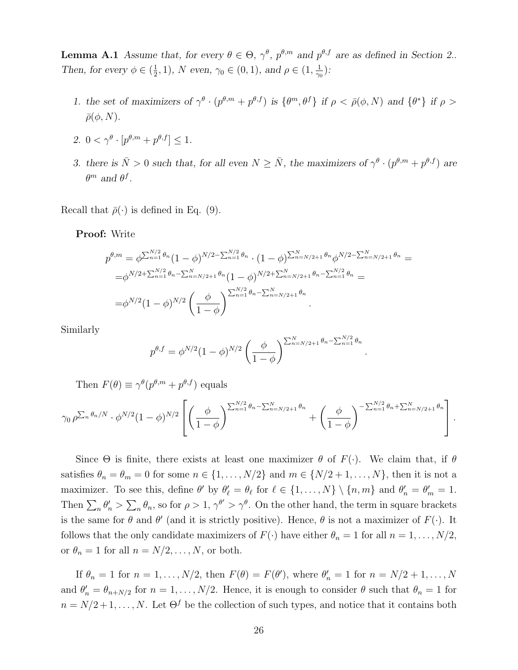**Lemma A.1** Assume that, for every  $\theta \in \Theta$ ,  $\gamma^{\theta}$ ,  $p^{\theta,m}$  and  $p^{\theta,f}$  are as defined in Section 2.. Then, for every  $\phi \in (\frac{1}{2})$  $(\frac{1}{2}, 1)$ , N even,  $\gamma_0 \in (0, 1)$ , and  $\rho \in (1, \frac{1}{\gamma_0})$  $\frac{1}{\gamma_0})$  :

- 1. the set of maximizers of  $\gamma^{\theta} \cdot (p^{\theta,m} + p^{\theta,f})$  is  $\{\theta^m, \theta^f\}$  if  $\rho < \bar{\rho}(\phi, N)$  and  $\{\theta^*\}$  if  $\rho >$  $\bar{\rho}(\phi, N)$ .
- 2.  $0 < \gamma^{\theta} \cdot [p^{\theta,m} + p^{\theta,f}] \leq 1.$
- 3. there is  $\bar{N} > 0$  such that, for all even  $N \ge \bar{N}$ , the maximizers of  $\gamma^{\theta} \cdot (p^{\theta,m} + p^{\theta,f})$  are  $\theta^m$  and  $\theta^f$ .

Recall that  $\bar{\rho}(\cdot)$  is defined in Eq. (9).

Proof: Write

$$
p^{\theta,m} = \phi^{\sum_{n=1}^{N/2} \theta_n} (1 - \phi)^{N/2 - \sum_{n=1}^{N/2} \theta_n} \cdot (1 - \phi)^{\sum_{n=N/2+1}^{N} \theta_n} \phi^{N/2 - \sum_{n=N/2+1}^{N} \theta_n} =
$$
  
=  $\phi^{N/2 + \sum_{n=1}^{N/2} \theta_n - \sum_{n=N/2+1}^{N} \theta_n} (1 - \phi)^{N/2 + \sum_{n=N/2+1}^{N} \theta_n - \sum_{n=1}^{N/2} \theta_n} =$   
=  $\phi^{N/2} (1 - \phi)^{N/2} \left( \frac{\phi}{1 - \phi} \right)^{\sum_{n=1}^{N/2} \theta_n - \sum_{n=N/2+1}^{N} \theta_n}.$ 

Similarly

$$
p^{\theta,f} = \phi^{N/2} (1-\phi)^{N/2} \left(\frac{\phi}{1-\phi}\right)^{\sum_{n=N/2+1}^{N} \theta_n - \sum_{n=1}^{N/2} \theta_n}
$$

.

Then  $F(\theta) \equiv \gamma^{\theta}(p^{\theta,m} + p^{\theta,f})$  equals

$$
\gamma_0 \, \rho^{\sum_n \theta_n/N} \cdot \phi^{N/2} (1-\phi)^{N/2} \left[ \left( \frac{\phi}{1-\phi} \right)^{\sum_{n=1}^{N/2} \theta_n - \sum_{n=N/2+1}^{N} \theta_n} + \left( \frac{\phi}{1-\phi} \right)^{-\sum_{n=1}^{N/2} \theta_n + \sum_{n=N/2+1}^{N} \theta_n} \right].
$$

Since  $\Theta$  is finite, there exists at least one maximizer  $\theta$  of  $F(\cdot)$ . We claim that, if  $\theta$ satisfies  $\theta_n = \theta_m = 0$  for some  $n \in \{1, ..., N/2\}$  and  $m \in \{N/2 + 1, ..., N\}$ , then it is not a maximizer. To see this, define  $\theta'$  by  $\theta'_{\ell} = \theta_{\ell}$  for  $\ell \in \{1, ..., N\} \setminus \{n, m\}$  and  $\theta'_{n} = \theta'_{m} = 1$ . Then  $\sum_n \theta_n' > \sum_n \theta_n$ , so for  $\rho > 1$ ,  $\gamma^{\theta'} > \gamma^{\theta}$ . On the other hand, the term in square brackets is the same for  $\theta$  and  $\theta'$  (and it is strictly positive). Hence,  $\theta$  is not a maximizer of  $F(\cdot)$ . It follows that the only candidate maximizers of  $F(\cdot)$  have either  $\theta_n = 1$  for all  $n = 1, ..., N/2$ , or  $\theta_n = 1$  for all  $n = N/2, \ldots, N$ , or both.

If  $\theta_n = 1$  for  $n = 1, ..., N/2$ , then  $F(\theta) = F(\theta)$ , where  $\theta'_n = 1$  for  $n = N/2 + 1, ..., N$ and  $\theta'_n = \theta_{n+N/2}$  for  $n = 1, ..., N/2$ . Hence, it is enough to consider  $\theta$  such that  $\theta_n = 1$  for  $n = N/2 + 1, \ldots, N$ . Let  $\Theta^f$  be the collection of such types, and notice that it contains both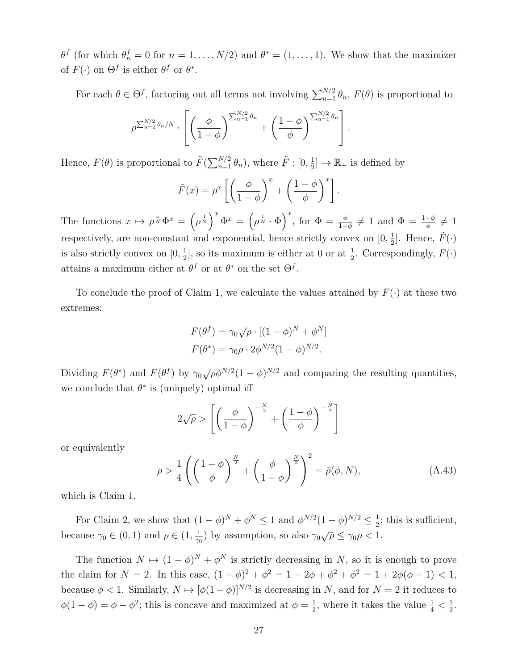$\theta^f$  (for which  $\theta_n^f = 0$  for  $n = 1, ..., N/2$ ) and  $\theta^* = (1, ..., 1)$ . We show that the maximizer of  $F(\cdot)$  on  $\Theta^f$  is either  $\theta^f$  or  $\theta^*$ .

For each  $\theta \in \Theta^f$ , factoring out all terms not involving  $\sum_{n=1}^{N/2} \theta_n$ ,  $F(\theta)$  is proportional to

$$
\rho^{\sum_{n=1}^{N/2} \theta_n/N} \cdot \left[ \left( \frac{\phi}{1-\phi} \right)^{\sum_{n=1}^{N/2} \theta_n} + \left( \frac{1-\phi}{\phi} \right)^{\sum_{n=1}^{N/2} \theta_n} \right].
$$

Hence,  $F(\theta)$  is proportional to  $\tilde{F}(\sum_{n=1}^{N/2} \theta_n)$ , where  $\tilde{F}$  :  $[0, \frac{1}{2}]$  $\frac{1}{2}$   $\rightarrow \mathbb{R}_{+}$  is defined by

$$
\tilde{F}(x) = \rho^x \left[ \left( \frac{\phi}{1 - \phi} \right)^x + \left( \frac{1 - \phi}{\phi} \right)^x \right].
$$

The functions  $x \mapsto \rho^{\frac{x}{N}} \Phi^x = \left(\rho^{\frac{1}{N}}\right)^x \Phi^x = \left(\rho^{\frac{1}{N}} \cdot \Phi\right)^x$ , for  $\Phi = \frac{\phi}{1-\phi} \neq 1$  and  $\Phi = \frac{1-\phi}{\phi} \neq 1$ respectively, are non-constant and exponential, hence strictly convex on  $[0, \frac{1}{2}]$  $\frac{1}{2}$ . Hence,  $\tilde{F}(\cdot)$ is also strictly convex on  $[0, \frac{1}{2}]$  $\frac{1}{2}$ , so its maximum is either at 0 or at  $\frac{1}{2}$ . Correspondingly,  $F(\cdot)$ attains a maximum either at  $\theta^f$  or at  $\theta^*$  on the set  $\Theta^f$ .

To conclude the proof of Claim 1, we calculate the values attained by  $F(\cdot)$  at these two extremes:

$$
F(\theta^f) = \gamma_0 \sqrt{\rho} \cdot [(1 - \phi)^N + \phi^N]
$$

$$
F(\theta^*) = \gamma_0 \rho \cdot 2\phi^{N/2} (1 - \phi)^{N/2}.
$$

Dividing  $F(\theta^*)$  and  $F(\theta^f)$  by  $\gamma_0\sqrt{\rho}\phi^{N/2}(1-\phi)^{N/2}$  and comparing the resulting quantities, we conclude that  $\theta^*$  is (uniquely) optimal iff

$$
2\sqrt{\rho} > \left[ \left( \frac{\phi}{1-\phi} \right)^{-\frac{N}{2}} + \left( \frac{1-\phi}{\phi} \right)^{-\frac{N}{2}} \right]
$$

or equivalently

$$
\rho > \frac{1}{4} \left( \left( \frac{1 - \phi}{\phi} \right)^{\frac{N}{2}} + \left( \frac{\phi}{1 - \phi} \right)^{\frac{N}{2}} \right)^2 = \bar{\rho}(\phi, N), \tag{A.43}
$$

which is Claim 1.

For Claim 2, we show that  $(1 - \phi)^N + \phi^N \leq 1$  and  $\phi^{N/2}(1 - \phi)^{N/2} \leq \frac{1}{2}$  $\frac{1}{2}$ ; this is sufficient, because  $\gamma_0 \in (0,1)$  and  $\rho \in (1, \frac{1}{\gamma_0})$  $(\frac{1}{\gamma_0})$  by assumption, so also  $\gamma_0\sqrt{\rho} \leq \gamma_0\rho < 1$ .

The function  $N \mapsto (1 - \phi)^N + \phi^N$  is strictly decreasing in N, so it is enough to prove the claim for  $N = 2$ . In this case,  $(1 - \phi)^2 + \phi^2 = 1 - 2\phi + \phi^2 + \phi^2 = 1 + 2\phi(\phi - 1) < 1$ , because  $\phi < 1$ . Similarly,  $N \mapsto [\phi(1-\phi)]^{N/2}$  is decreasing in N, and for  $N = 2$  it reduces to  $\phi(1-\phi) = \phi - \phi^2$ ; this is concave and maximized at  $\phi = \frac{1}{2}$  $\frac{1}{2}$ , where it takes the value  $\frac{1}{4} < \frac{1}{2}$  $\frac{1}{2}$ .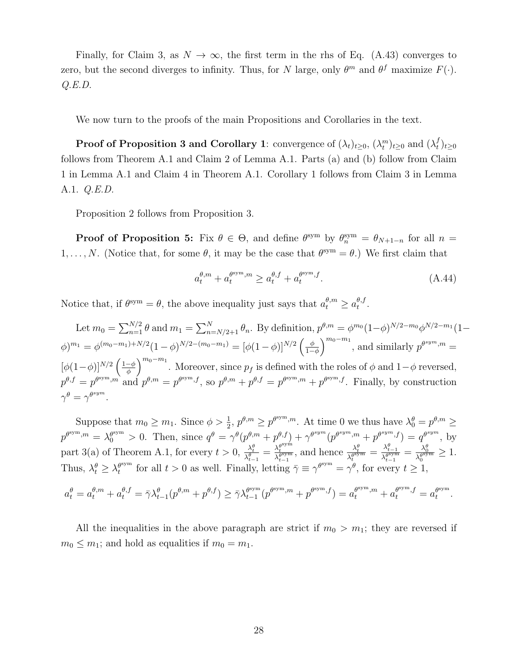Finally, for Claim 3, as  $N \to \infty$ , the first term in the rhs of Eq. (A.43) converges to zero, but the second diverges to infinity. Thus, for N large, only  $\theta^m$  and  $\theta^f$  maximize  $F(\cdot)$ .  $Q.E.D.$ 

We now turn to the proofs of the main Propositions and Corollaries in the text.

Proof of Proposition 3 and Corollary 1: convergence of  $(\lambda_t)_{t\geq0}$ ,  $(\lambda_t^m)_{t\geq0}$  and  $(\lambda_t^f)$  $_{t}^{f})_{t\geq0}$ follows from Theorem A.1 and Claim 2 of Lemma A.1. Parts (a) and (b) follow from Claim 1 in Lemma A.1 and Claim 4 in Theorem A.1. Corollary 1 follows from Claim 3 in Lemma A.1. Q.E.D.

Proposition 2 follows from Proposition 3.

**Proof of Proposition 5:** Fix  $\theta \in \Theta$ , and define  $\theta^{\text{sym}}$  by  $\theta_n^{\text{sym}} = \theta_{N+1-n}$  for all  $n =$ 1, ..., N. (Notice that, for some  $\theta$ , it may be the case that  $\theta^{sym} = \theta$ .) We first claim that

$$
a_t^{\theta,m} + a_t^{\theta^{\text{sym}},m} \ge a_t^{\theta,f} + a_t^{\theta^{\text{sym}},f}.
$$
\n(A.44)

Notice that, if  $\theta^{sym} = \theta$ , the above inequality just says that  $a_t^{\theta,m} \ge a_t^{\theta,f}$  $_t^{\theta, f}$  .

Let  $m_0 = \sum_{n=1}^{N/2} \theta$  and  $m_1 = \sum_{n=N/2+1}^{N} \theta_n$ . By definition,  $p^{\theta,m} = \phi^{m_0} (1-\phi)^{N/2-m_0} \phi^{N/2-m_1} (1-\phi)^{N/2-m_0}$  $\phi)^{m_1} = \phi^{(m_0 - m_1) + N/2} (1 - \phi)^{N/2 - (m_0 - m_1)} = [\phi(1 - \phi)]^{N/2} \left( \frac{\phi}{1 - \phi} \right)$  $\left(\frac{\phi}{1-\phi}\right)^{m_0-m_1}$ , and similarly  $p^{\theta^{sym},m} =$  $[\phi(1-\phi)]^{N/2}$   $\Big(\frac{1-\phi}{\phi}\Big)$  $\left(\frac{\phi}{\phi}\right)^{m_0-m_1}$ . Moreover, since  $p_f$  is defined with the roles of  $\phi$  and  $1-\phi$  reversed,  $p^{\theta,f} = p^{\theta \text{sym},m}$  and  $p^{\theta,m} = p^{\theta \text{sym},f}$ , so  $p^{\theta,m} + p^{\theta,f} = p^{\theta \text{sym},m} + p^{\theta \text{sym},f}$ . Finally, by construction  $\gamma^{\theta} = \gamma^{\theta^{sym}}.$ 

Suppose that  $m_0 \ge m_1$ . Since  $\phi > \frac{1}{2}$ ,  $p^{\theta,m} \ge p^{\theta^{sym},m}$ . At time 0 we thus have  $\lambda_0^{\theta} = p^{\theta,m} \ge$  $p^{\theta^{sym},m} = \lambda_0^{\theta^{sym}} > 0$ . Then, since  $q^{\theta} = \gamma^{\theta}(p^{\theta,m} + p^{\theta,f}) + \gamma^{\theta^{sym}}(p^{\theta^{sym},m} + p^{\theta^{sym},f}) = q^{\theta^{sym}},$  by part 3(a) of Theorem A.1, for every  $t > 0$ ,  $\frac{\lambda_t^{\theta}}{\lambda_{t-1}^{\theta}} = \frac{\lambda_t^{\theta^{sym}}}{\lambda_{t-1}^{\theta^{sym}}}$ , and hence  $\frac{\lambda_t^{\theta}}{\lambda_t^{\theta^{sym}}} = \frac{\lambda_{t-1}^{\theta}}{\lambda_{t-1}^{\theta^{sym}}} = \frac{\lambda_0^{\theta}}{\lambda_0^{\theta^{sym}}} \ge 1$ . Thus,  $\lambda_t^{\theta} \geq \lambda_t^{\theta^{\text{sym}}}$  $t_t^{\text{sym}}$  for all  $t > 0$  as well. Finally, letting  $\bar{\gamma} \equiv \gamma^{\theta \text{sym}} = \gamma^{\theta}$ , for every  $t \geq 1$ ,

$$
a_t^{\theta} = a_t^{\theta,m} + a_t^{\theta,f} = \bar{\gamma} \lambda_{t-1}^{\theta}(p^{\theta,m} + p^{\theta,f}) \ge \bar{\gamma} \lambda_{t-1}^{\theta^{sym}}(p^{\theta^{sym},m} + p^{\theta^{sym},f}) = a_t^{\theta^{sym},m} + a_t^{\theta^{sym},f} = a_t^{\theta^{sym}}.
$$

All the inequalities in the above paragraph are strict if  $m_0 > m_1$ ; they are reversed if  $m_0 \leq m_1$ ; and hold as equalities if  $m_0 = m_1$ .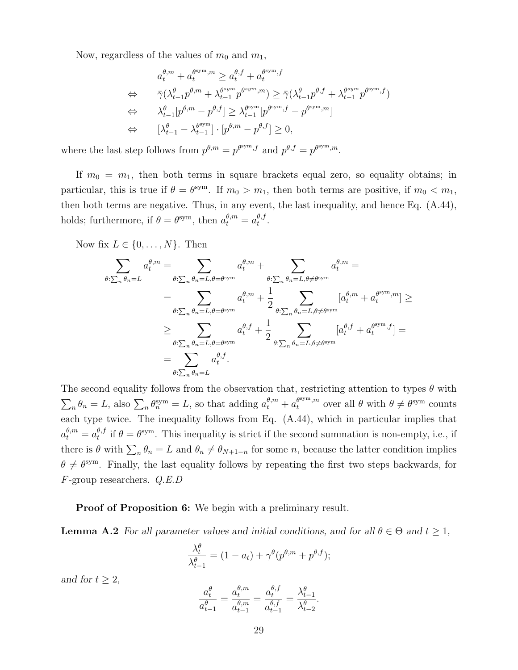Now, regardless of the values of  $m_0$  and  $m_1$ ,

$$
a_t^{\theta,m} + a_t^{\theta^{sym},m} \ge a_t^{\theta,f} + a_t^{\theta^{sym},f}
$$
  
\n
$$
\Leftrightarrow \quad \bar{\gamma}(\lambda_{t-1}^{\theta} p^{\theta,m} + \lambda_{t-1}^{\theta^{sym},m} p^{\theta^{sym},m}) \ge \bar{\gamma}(\lambda_{t-1}^{\theta} p^{\theta,f} + \lambda_{t-1}^{\theta^{sym},p^{\theta^{sym},f}})
$$
  
\n
$$
\Leftrightarrow \quad \lambda_{t-1}^{\theta} [p^{\theta,m} - p^{\theta,f}] \ge \lambda_{t-1}^{\theta^{sym}} [p^{\theta^{sym},f} - p^{\theta^{sym},m}]
$$
  
\n
$$
\Leftrightarrow \quad [\lambda_{t-1}^{\theta} - \lambda_{t-1}^{\theta^{sym}}] \cdot [p^{\theta,m} - p^{\theta,f}] \ge 0,
$$

where the last step follows from  $p^{\theta,m} = p^{\theta^{sym},f}$  and  $p^{\theta,f} = p^{\theta^{sym},m}$ .

If  $m_0 = m_1$ , then both terms in square brackets equal zero, so equality obtains; in particular, this is true if  $\theta = \theta^{\text{sym}}$ . If  $m_0 > m_1$ , then both terms are positive, if  $m_0 < m_1$ , then both terms are negative. Thus, in any event, the last inequality, and hence Eq. (A.44), holds; furthermore, if  $\theta = \theta^{\text{sym}}$ , then  $a_t^{\theta,m} = a_t^{\theta,f}$  $_t^{\theta, f}$ .

Now fix  $L \in \{0, \ldots, N\}$ . Then

$$
\sum_{\theta:\sum_{n} \theta_{n}=L} a_{t}^{\theta, m} = \sum_{\theta:\sum_{n} \theta_{n}=L, \theta=\theta^{\text{sym}}} a_{t}^{\theta, m} + \sum_{\theta:\sum_{n} \theta_{n}=L, \theta\neq\theta^{\text{sym}}} a_{t}^{\theta, m} =
$$
\n
$$
= \sum_{\theta:\sum_{n} \theta_{n}=L, \theta=\theta^{\text{sym}}} a_{t}^{\theta, m} + \frac{1}{2} \sum_{\theta:\sum_{n} \theta_{n}=L, \theta\neq\theta^{\text{sym}}} [a_{t}^{\theta, m} + a_{t}^{\theta^{\text{sym}}, m}] \ge
$$
\n
$$
\geq \sum_{\theta:\sum_{n} \theta_{n}=L, \theta=\theta^{\text{sym}}} a_{t}^{\theta, f} + \frac{1}{2} \sum_{\theta:\sum_{n} \theta_{n}=L, \theta\neq\theta^{\text{sym}}} [a_{t}^{\theta, f} + a_{t}^{\theta^{\text{sym}}, f}] =
$$
\n
$$
= \sum_{\theta:\sum_{n} \theta_{n}=L} a_{t}^{\theta, f}.
$$

The second equality follows from the observation that, restricting attention to types  $\theta$  with  $\sum_{n} \theta_{n} = L$ , also  $\sum_{n} \theta_{n}^{\text{sym}} = L$ , so that adding  $a_{t}^{\theta, m} + a_{t}^{\theta^{\text{sym}}, m}$  over all  $\theta$  with  $\theta \neq \theta^{\text{sym}}$  counts each type twice. The inequality follows from Eq. (A.44), which in particular implies that  $a_t^{\theta,m} = a_t^{\theta,f}$  $t_t^{\theta,f}$  if  $\theta = \theta^{\text{sym}}$ . This inequality is strict if the second summation is non-empty, i.e., if there is  $\theta$  with  $\sum_n \theta_n = L$  and  $\theta_n \neq \theta_{N+1-n}$  for some n, because the latter condition implies  $\theta \neq \theta$ <sup>sym</sup>. Finally, the last equality follows by repeating the first two steps backwards, for F-group researchers. Q.E.D

**Proof of Proposition 6:** We begin with a preliminary result.

**Lemma A.2** For all parameter values and initial conditions, and for all  $\theta \in \Theta$  and  $t \geq 1$ ,

$$
\frac{\lambda_t^{\theta}}{\lambda_{t-1}^{\theta}} = (1 - a_t) + \gamma^{\theta}(p^{\theta, m} + p^{\theta, f});
$$

and for  $t \geq 2$ ,

$$
\frac{a_t^{\theta}}{a_{t-1}^{\theta}} = \frac{a_t^{\theta,m}}{a_{t-1}^{\theta,m}} = \frac{a_t^{\theta,f}}{a_{t-1}^{\theta,f}} = \frac{\lambda_{t-1}^{\theta}}{\lambda_{t-2}^{\theta}}.
$$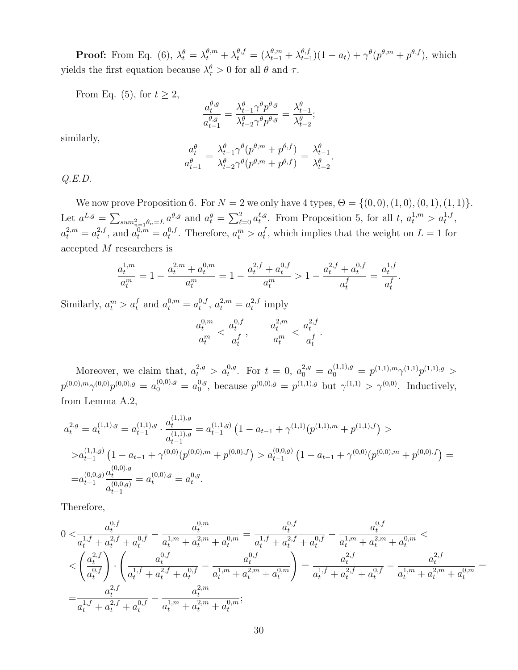**Proof:** From Eq. (6),  $\lambda_t^{\theta} = \lambda_t^{\theta,m} + \lambda_t^{\theta,f} = (\lambda_{t-1}^{\theta,m} + \lambda_{t-1}^{\theta,f})$  $_{t-1}^{\theta,f}(1-a_t)+\gamma^{\theta}(p^{\theta,m}+p^{\theta,f}),$  which yields the first equation because  $\lambda_{\tau}^{\theta} > 0$  for all  $\theta$  and  $\tau$ .

From Eq. (5), for  $t \geq 2$ ,

$$
\frac{a_{t}^{\theta,g}}{a_{t-1}^{\theta,g}} = \frac{\lambda_{t-1}^{\theta}\gamma^{\theta}p^{\theta,g}}{\lambda_{t-2}^{\theta}\gamma^{\theta}p^{\theta,g}} = \frac{\lambda_{t-1}^{\theta}}{\lambda_{t-2}^{\theta}};
$$

similarly,

$$
\frac{a_t^{\theta}}{a_{t-1}^{\theta}} = \frac{\lambda_{t-1}^{\theta} \gamma^{\theta}(p^{\theta,m} + p^{\theta,f})}{\lambda_{t-2}^{\theta} \gamma^{\theta}(p^{\theta,m} + p^{\theta,f})} = \frac{\lambda_{t-1}^{\theta}}{\lambda_{t-2}^{\theta}}.
$$

 $Q.E.D.$ 

We now prove Proposition 6. For  $N = 2$  we only have 4 types,  $\Theta = \{(0, 0), (1, 0), (0, 1), (1, 1)\}.$ Let  $a^{L,g} = \sum_{sum_{n=1}^2 \theta_n = L} a^{\theta,g}$  and  $a_t^g = \sum_{\ell=0}^2 a_t^{\ell,g}$ <sup> $\ell, g$ </sup>. From Proposition 5, for all t,  $a_t^{1,m} > a_t^{1,f}$ ,  $a_t^{2,m} = a_t^{2,f}$  $t^{2,f}$ , and  $a_t^{0,m} = a_t^{0,f}$ <sup>0,f</sup>. Therefore,  $a_t^m > a_t^f$ , which implies that the weight on  $L = 1$  for accepted M researchers is

$$
\frac{a_t^{1,m}}{a_t^m} = 1 - \frac{a_t^{2,m} + a_t^{0,m}}{a_t^m} = 1 - \frac{a_t^{2,f} + a_t^{0,f}}{a_t^m} > 1 - \frac{a_t^{2,f} + a_t^{0,f}}{a_t^f} = \frac{a_t^{1,f}}{a_t^f}.
$$

Similarly,  $a_t^m > a_t^f$  and  $a_t^{0,m} = a_t^{0,f}$  $a_t^{0,f}, a_t^{2,m} = a_t^{2,f}$  $t^{2,J}$  imply

$$
\frac{a_t^{0,m}}{a_t^m} < \frac{a_t^{0,f}}{a_t^f}, \qquad \frac{a_t^{2,m}}{a_t^m} < \frac{a_t^{2,f}}{a_t^f}.
$$

Moreover, we claim that,  $a_t^{2,g} > a_t^{0,g}$ . For  $t = 0$ ,  $a_0^{2,g} = a_0^{(1,1),g} = p^{(1,1),m} \gamma^{(1,1),p^{(1,1),g}} >$  $p^{(0,0),m}\gamma^{(0,0)}p^{(0,0),g} = a_0^{(0,0),g} = a_0^{0,g}$  $v_0^{0,g}$ , because  $p^{(0,0),g} = p^{(1,1),g}$  but  $\gamma^{(1,1)} > \gamma^{(0,0)}$ . Inductively, from Lemma A.2,

$$
a_t^{2,g} = a_t^{(1,1),g} = a_{t-1}^{(1,1),g} \cdot \frac{a_t^{(1,1),g}}{a_{t-1}^{(1,1),g}} = a_{t-1}^{(1,1,g)} \left( 1 - a_{t-1} + \gamma^{(1,1)}(p^{(1,1),m} + p^{(1,1),f}) \right) > > a_{t-1}^{(1,1,g)} \left( 1 - a_{t-1} + \gamma^{(0,0)}(p^{(0,0),m} + p^{(0,0),f}) \right) > a_{t-1}^{(0,0,g)} \left( 1 - a_{t-1} + \gamma^{(0,0)}(p^{(0,0),m} + p^{(0,0),f}) \right) = = a_{t-1}^{(0,0,g)} \frac{a_t^{(0,0),g}}{a_{t-1}^{(0,0,g)}} = a_t^{(0,0),g} = a_t^{0,g}.
$$

Therefore,

$$
\begin{split} 0 < & \frac{a_t^{0,f}}{a_t^{1,f}+a_t^{2,f}+a_t^{0,f}} - \frac{a_t^{0,m}}{a_t^{1,m}+a_t^{2,m}+a_t^{0,m}} = \frac{a_t^{0,f}}{a_t^{1,f}+a_t^{2,f}+a_t^{0,f}} - \frac{a_t^{0,f}}{a_t^{1,m}+a_t^{2,m}+a_t^{0,m}} < \\ < & \left(\frac{a_t^{2,f}}{a_t^{0,f}}\right) \cdot \left(\frac{a_t^{0,f}}{a_t^{1,f}+a_t^{2,f}+a_t^{0,f}} - \frac{a_t^{0,f}}{a_t^{1,m}+a_t^{2,m}+a_t^{0,m}}\right) = \frac{a_t^{2,f}}{a_t^{1,f}+a_t^{2,f}+a_t^{0,f}} - \frac{a_t^{2,f}}{a_t^{1,m}+a_t^{2,m}+a_t^{0,m}} = \\ = & \frac{a_t^{2,f}}{a_t^{1,f}+a_t^{2,f}+a_t^{0,f}} - \frac{a_t^{2,m}}{a_t^{1,m}+a_t^{2,m}+a_t^{0,m}}; \end{split}
$$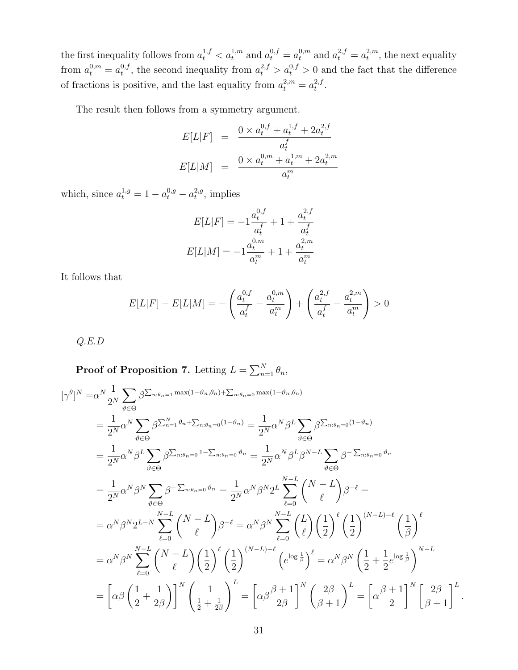the first inequality follows from  $a_t^{1,f} < a_t^{1,m}$  and  $a_t^{0,f} = a_t^{0,m}$  and  $a_t^{2,f} = a_t^{2,m}$  $t^{2,m}$ , the next equality from  $a_t^{0,m} = a_t^{0,f}$  $t_t^{0,f}$ , the second inequality from  $a_t^{2,f} > a_t^{0,f} > 0$  and the fact that the difference of fractions is positive, and the last equality from  $a_t^{2,m} = a_t^{2,f}$  $\frac{2}{t}$ .

The result then follows from a symmetry argument.

$$
E[L|F] = \frac{0 \times a_t^{0,f} + a_t^{1,f} + 2a_t^{2,f}}{a_t^f}
$$

$$
E[L|M] = \frac{0 \times a_t^{0,m} + a_t^{1,m} + 2a_t^{2,m}}{a_t^m}
$$

which, since  $a_t^{1,g} = 1 - a_t^{0,g} - a_t^{2,g}$  $t^{2,g}$ , implies

$$
E[L|F] = -1 \frac{a_t^{0,f}}{a_t^f} + 1 + \frac{a_t^{2,f}}{a_t^f}
$$

$$
E[L|M] = -1 \frac{a_t^{0,m}}{a_t^m} + 1 + \frac{a_t^{2,m}}{a_t^m}
$$

It follows that

$$
E[L|F] - E[L|M] = -\left(\frac{a_t^{0,f}}{a_t^f} - \frac{a_t^{0,m}}{a_t^m}\right) + \left(\frac{a_t^{2,f}}{a_t^f} - \frac{a_t^{2,m}}{a_t^m}\right) > 0
$$

Q.E.D

**Proof of Proposition 7.** Letting  $L = \sum_{n=1}^{N} \theta_n$ ,

$$
\begin{split}\n\left[\gamma^{\theta}\right]^{N} &= \alpha^{N} \frac{1}{2^{N}} \sum_{\vartheta \in \Theta} \beta^{\sum_{n:\theta_{n}=1} \max(1-\vartheta_{n},\theta_{n}) + \sum_{n:\theta_{n}=0} \max(1-\vartheta_{n},\theta_{n})} \\
&= \frac{1}{2^{N}} \alpha^{N} \sum_{\vartheta \in \Theta} \beta^{\sum_{n=1}^{N}\theta_{n} + \sum_{n:\theta_{n}=0} (1-\vartheta_{n})} \\
&= \frac{1}{2^{N}} \alpha^{N} \beta^{L} \sum_{\vartheta \in \Theta} \beta^{\sum_{n:\theta_{n}=0} 1 - \sum_{n:\theta_{n}=0} \vartheta_{n}} \\
&= \frac{1}{2^{N}} \alpha^{N} \beta^{N} \sum_{\vartheta \in \Theta} \beta^{\sum_{n:\theta_{n}=0} 1 - \sum_{n:\theta_{n}=0} \vartheta_{n}} \\
&= \frac{1}{2^{N}} \alpha^{N} \beta^{N} \sum_{\vartheta \in \Theta} \beta^{-\sum_{n:\theta_{n}=0} \vartheta_{n}} \\
&= \frac{1}{2^{N}} \alpha^{N} \beta^{N} \sum_{\vartheta \in \Theta} \beta^{-\sum_{n:\theta_{n}=0} \vartheta_{n}} \\
&= \frac{1}{2^{N}} \alpha^{N} \beta^{N} \sum_{\ell=0} \beta^{-\sum_{n:\theta_{n}=0} \vartheta_{n}} \\
&= \frac{1}{2^{N}} \alpha^{N} \beta^{N} \sum_{\ell=0}^{N-L} \binom{N-L}{\ell} \beta^{-\ell} \\
&= \alpha^{N} \beta^{N} \sum_{\ell=0}^{N-L} \binom{N-L}{\ell} \left(\frac{1}{2}\right)^{\ell} \left(\frac{1}{2}\right)^{(N-L)-\ell} \left(\frac{1}{\vartheta}\right)^{\ell} \\
&= \alpha^{N} \beta^{N} \sum_{\ell=0}^{N-L} \binom{N-L}{\ell} \left(\frac{1}{2}\right)^{\ell} \left(\frac{1}{2}\right)^{(N-L)-\ell} \left(\frac{1}{\vartheta^{N}}\right)^{\ell} \\
&= \left[\alpha \beta \left(\frac{1}{2} + \frac{1}{2\beta}\right)\right]^{N} \left(\frac{1}{2} + \frac{1}{2\vartheta}\right)^{L} \\
&= \left[\alpha \beta
$$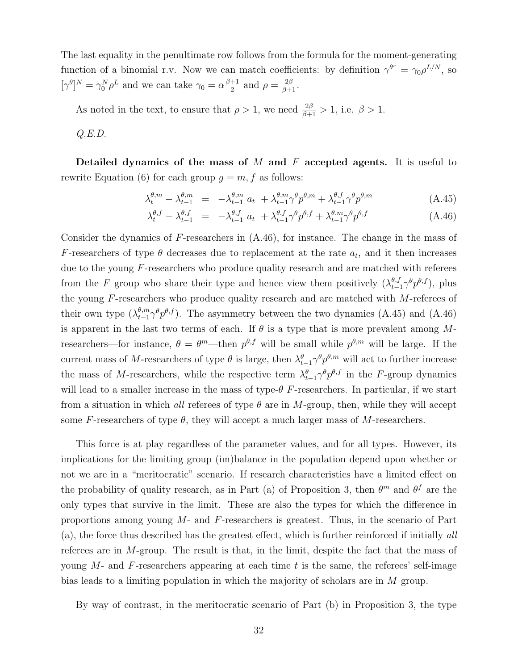The last equality in the penultimate row follows from the formula for the moment-generating function of a binomial r.v. Now we can match coefficients: by definition  $\gamma^{\theta^r} = \gamma_0 \rho^{L/N}$ , so  $[\gamma^{\theta}]^{N} = \gamma_{0}^{N} \rho^{L}$  and we can take  $\gamma_{0} = \alpha \frac{\beta+1}{2}$  $\frac{+1}{2}$  and  $\rho = \frac{2\beta}{\beta+1}$ .

As noted in the text, to ensure that  $\rho > 1$ , we need  $\frac{2\beta}{\beta+1} > 1$ , i.e.  $\beta > 1$ .

 $Q.E.D.$ 

Detailed dynamics of the mass of M and F accepted agents. It is useful to rewrite Equation (6) for each group  $q = m$ , f as follows:

$$
\lambda_t^{\theta,m} - \lambda_{t-1}^{\theta,m} = -\lambda_{t-1}^{\theta,m} a_t + \lambda_{t-1}^{\theta,m} \gamma^{\theta} p^{\theta,m} + \lambda_{t-1}^{\theta,f} \gamma^{\theta} p^{\theta,m} \tag{A.45}
$$

$$
\lambda_t^{\theta,f} - \lambda_{t-1}^{\theta,f} = -\lambda_{t-1}^{\theta,f} a_t + \lambda_{t-1}^{\theta,f} \gamma^{\theta} p^{\theta,f} + \lambda_{t-1}^{\theta,m} \gamma^{\theta} p^{\theta,f}
$$
\n(A.46)

Consider the dynamics of F-researchers in  $(A.46)$ , for instance. The change in the mass of F-researchers of type  $\theta$  decreases due to replacement at the rate  $a_t$ , and it then increases due to the young F-researchers who produce quality research and are matched with referees from the F group who share their type and hence view them positively  $(\lambda_{t-1}^{\theta,f} \gamma^{\theta} p^{\theta,f})$ , plus the young F-researchers who produce quality research and are matched with M-referees of their own type  $(\lambda_{t-1}^{\theta,m}\gamma^{\theta}p^{\theta,f})$ . The asymmetry between the two dynamics (A.45) and (A.46) is apparent in the last two terms of each. If  $\theta$  is a type that is more prevalent among Mresearchers—for instance,  $\theta = \theta^m$ —then  $p^{\theta, f}$  will be small while  $p^{\theta, m}$  will be large. If the current mass of M-researchers of type  $\theta$  is large, then  $\lambda_{t-1}^{\theta} \gamma^{\theta} p^{\theta,m}$  will act to further increase the mass of M-researchers, while the respective term  $\lambda_{t-1}^{\theta} \gamma^{\theta} p^{\theta,f}$  in the F-group dynamics will lead to a smaller increase in the mass of type- $\theta$  F-researchers. In particular, if we start from a situation in which all referees of type  $\theta$  are in M-group, then, while they will accept some F-researchers of type  $\theta$ , they will accept a much larger mass of M-researchers.

This force is at play regardless of the parameter values, and for all types. However, its implications for the limiting group (im)balance in the population depend upon whether or not we are in a "meritocratic" scenario. If research characteristics have a limited effect on the probability of quality research, as in Part (a) of Proposition 3, then  $\theta^m$  and  $\theta^f$  are the only types that survive in the limit. These are also the types for which the difference in proportions among young  $M$ - and  $F$ -researchers is greatest. Thus, in the scenario of Part (a), the force thus described has the greatest effect, which is further reinforced if initially all referees are in M-group. The result is that, in the limit, despite the fact that the mass of young  $M$ - and  $F$ -researchers appearing at each time t is the same, the referees' self-image bias leads to a limiting population in which the majority of scholars are in M group.

By way of contrast, in the meritocratic scenario of Part (b) in Proposition 3, the type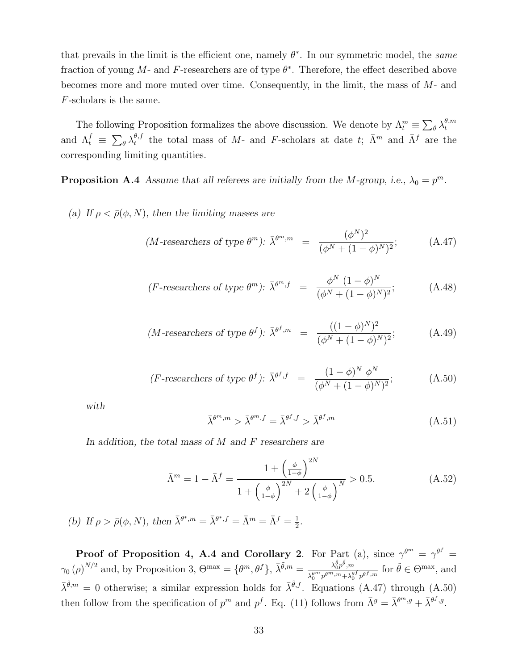that prevails in the limit is the efficient one, namely  $\theta^*$ . In our symmetric model, the same fraction of young M- and F-researchers are of type  $\theta^*$ . Therefore, the effect described above becomes more and more muted over time. Consequently, in the limit, the mass of M- and F-scholars is the same.

The following Proposition formalizes the above discussion. We denote by  $\Lambda_t^m \equiv \sum_{\theta} \lambda_t^{\theta,m}$ t and  $\Lambda_t^f \equiv \sum_{\theta} \lambda_t^{\theta, f}$  $t_t^{\theta,f}$  the total mass of M- and F-scholars at date t;  $\bar{\Lambda}^m$  and  $\bar{\Lambda}^f$  are the corresponding limiting quantities.

**Proposition A.4** Assume that all referees are initially from the M-group, i.e.,  $\lambda_0 = p^m$ .

(a) If  $\rho < \bar{\rho}(\phi, N)$ , then the limiting masses are

$$
(M-\text{researchers of type }\theta^m): \bar{\lambda}^{\theta^m,m} = \frac{(\phi^N)^2}{(\phi^N + (1-\phi)^N)^2};\tag{A.47}
$$

$$
(F\text{-researchers of type }\theta^m)\text{: } \bar{\lambda}^{\theta^m,f} = \frac{\phi^N (1-\phi)^N}{(\phi^N + (1-\phi)^N)^2};\tag{A.48}
$$

$$
(M-\text{researchers of type }\theta^f): \bar{\lambda}^{\theta^f,m} = \frac{((1-\phi)^N)^2}{(\phi^N + (1-\phi)^N)^2};\tag{A.49}
$$

$$
(F\text{-researchers of type }\theta^f) \colon \bar{\lambda}^{\theta^f, f} = \frac{(1-\phi)^N \phi^N}{(\phi^N + (1-\phi)^N)^2};\tag{A.50}
$$

with

$$
\bar{\lambda}^{\theta^m, m} > \bar{\lambda}^{\theta^m, f} = \bar{\lambda}^{\theta^f, f} > \bar{\lambda}^{\theta^f, m}
$$
\n(A.51)

In addition, the total mass of  $M$  and  $F$  researchers are

$$
\bar{\Lambda}^{m} = 1 - \bar{\Lambda}^{f} = \frac{1 + \left(\frac{\phi}{1 - \phi}\right)^{2N}}{1 + \left(\frac{\phi}{1 - \phi}\right)^{2N} + 2\left(\frac{\phi}{1 - \phi}\right)^{N}} > 0.5.
$$
\n(A.52)

(b) If  $\rho > \bar{\rho}(\phi, N)$ , then  $\bar{\lambda}^{\theta^*, m} = \bar{\lambda}^{\theta^*, f} = \bar{\Lambda}^m = \bar{\Lambda}^f = \frac{1}{2}$  $\frac{1}{2}$ .

**Proof of Proposition 4, A.4 and Corollary 2**. For Part (a), since  $\gamma^{\theta^m} = \gamma^{\theta^f} =$  $\gamma_0(\rho)^{N/2}$  and, by Proposition 3,  $\Theta^{\max} = {\theta^m, \theta^f}, \bar{\lambda}^{\tilde{\theta}, m} = \frac{\lambda_0^{\tilde{\theta}} p^{\tilde{\theta}}, m}{\lambda_0^{\theta^m} p^m m + \lambda_0^{\theta^r}}$  $\frac{\lambda_0^{\theta} p^{\theta} , m}{\lambda_0^{gm} p^{\theta m}, m + \lambda_0^{\theta f} p^{\theta f}, m}$  for  $\tilde{\theta} \in \Theta^{\max}$ , and  $\bar{\lambda}^{\tilde{\theta},m} = 0$  otherwise; a similar expression holds for  $\bar{\lambda}^{\tilde{\theta},f}$ . Equations (A.47) through (A.50) then follow from the specification of  $p^m$  and  $p^f$ . Eq. (11) follows from  $\bar{\Lambda}^g = \bar{\lambda}^{\theta^m,g} + \bar{\lambda}^{\theta^f,g}$ .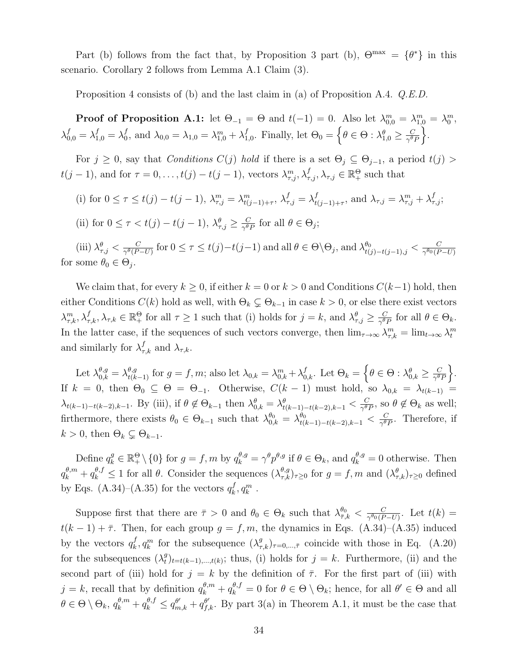Part (b) follows from the fact that, by Proposition 3 part (b),  $\Theta^{\max} = {\theta^*}$  in this scenario. Corollary 2 follows from Lemma A.1 Claim (3).

Proposition 4 consists of (b) and the last claim in (a) of Proposition A.4.  $Q.E.D.$ 

**Proof of Proposition A.1:** let  $\Theta_{-1} = \Theta$  and  $t(-1) = 0$ . Also let  $\lambda_{0,0}^m = \lambda_{1,0}^m = \lambda_0^m$ ,  $\lambda^f_{0,0}=\lambda^f_{1,0}=\lambda^f_0$  $\lambda_{0,0}^f = \lambda_{1,0} = \lambda_{1,0}^m + \lambda_1^f$  $_{1,0}^f$ . Finally, let  $\Theta_0 = \left\{\theta \in \Theta : \lambda_{1,0}^{\theta} \geq \frac{C}{\gamma^{\theta}}\right\}$  $\frac{C}{\gamma^{\theta}P}$ .

For  $j \geq 0$ , say that *Conditions*  $C(j)$  hold if there is a set  $\Theta_j \subseteq \Theta_{j-1}$ , a period  $t(j)$  $t(j-1)$ , and for  $\tau = 0, \ldots, t(j) - t(j-1)$ , vectors  $\lambda_{\tau,j}^m, \lambda_{\tau,j}^f, \lambda_{\tau,j} \in \mathbb{R}_+^{\Theta}$  such that

- (i) for  $0 \le \tau \le t(j) t(j-1)$ ,  $\lambda_{\tau,j}^m = \lambda_{t(j-1)+\tau}^m$ ,  $\lambda_{\tau,j}^f = \lambda_{t,j}^f$  $t_{(j-1)+\tau}$ , and  $\lambda_{\tau,j} = \lambda_{\tau,j}^m + \lambda_{\tau,j}^f$ ;
- (ii) for  $0 \leq \tau < t(j) t(j-1)$ ,  $\lambda_{\tau,j}^{\theta} \geq \frac{C}{\gamma^{\theta}}$  $\frac{C}{\gamma^{\theta} P}$  for all  $\theta \in \Theta_j$ ;

(iii)  $\lambda_{\tau,j}^{\theta} < \frac{C}{\gamma^{\theta}(P)}$  $\frac{C}{\gamma^{\theta}(P-U)}$  for  $0 \leq \tau \leq t(j)-t(j-1)$  and all  $\theta \in \Theta \setminus \Theta_j$ , and  $\lambda_{t(j)-t(j-1),j}^{\theta_0} < \frac{C}{\gamma^{\theta_0}(P-U)}$  $\gamma^{\theta_0}$  (P-U) for some  $\theta_0 \in \Theta_j$ .

We claim that, for every  $k \geq 0$ , if either  $k = 0$  or  $k > 0$  and Conditions  $C(k-1)$  hold, then either Conditions  $C(k)$  hold as well, with  $\Theta_k \subsetneq \Theta_{k-1}$  in case  $k > 0$ , or else there exist vectors  $\lambda_{\tau,k}^m, \lambda_{\tau,k}^f, \lambda_{\tau,k} \in \mathbb{R}_+^{\Theta}$  for all  $\tau \geq 1$  such that (i) holds for  $j = k$ , and  $\lambda_{\tau,j}^{\theta} \geq \frac{C}{\gamma^{\theta}j}$  $\frac{C}{\gamma^{\theta} P}$  for all  $\theta \in \Theta_k$ . In the latter case, if the sequences of such vectors converge, then  $\lim_{\tau\to\infty}\lambda_{\tau,k}^m = \lim_{t\to\infty}\lambda_t^m$ and similarly for  $\lambda_{\tau,k}^f$  and  $\lambda_{\tau,k}$ .

Let  $\lambda_{0,k}^{\theta,g} = \lambda_{t(k-1)}^{\theta,g}$  for  $g = f, m$ ; also let  $\lambda_{0,k} = \lambda_{0,k}^m + \lambda_{0,k}^f$ . Let  $\Theta_k = \left\{\theta \in \Theta : \lambda_{0,k}^{\theta} \geq \frac{C}{\gamma^{\theta}}\right\}$  $\frac{C}{\gamma^{\theta}P}$ . If  $k = 0$ , then  $\Theta_0 \subseteq \Theta = \Theta_{-1}$ . Otherwise,  $C(k-1)$  must hold, so  $\lambda_{0,k} = \lambda_{t(k-1)} =$  $\lambda_{t(k-1)-t(k-2),k-1}$ . By (iii), if  $\theta \notin \Theta_{k-1}$  then  $\lambda_{0,k}^{\theta} = \lambda_{t(k-1)-t(k-2),k-1}^{\theta} < \frac{C}{\gamma^{\theta}}$  $\frac{C}{\gamma^{\theta} P}$ , so  $\theta \notin \Theta_k$  as well; firthermore, there exists  $\theta_0 \in \Theta_{k-1}$  such that  $\lambda_{0,k}^{\theta_0} = \lambda_{t(k-1)-t(k-2),k-1}^{\theta_0} < \frac{C}{\gamma^{\theta_0}}$  $\frac{C}{\gamma^{\theta}P}$ . Therefore, if  $k > 0$ , then  $\Theta_k \subsetneq \Theta_{k-1}$ .

Define  $q_k^g \in \mathbb{R}_+^{\Theta} \setminus \{0\}$  for  $g = f, m$  by  $q_k^{\theta, g} = \gamma^{\theta} p^{\theta, g}$  if  $\theta \in \Theta_k$ , and  $q_k^{\theta, g} = 0$  otherwise. Then  $q_k^{\theta,m} + q_k^{\theta,f} \leq 1$  for all  $\theta$ . Consider the sequences  $(\lambda^{\theta,g}_{\tau,k})_{\tau\geq 0}$  for  $g = f, m$  and  $(\lambda^{\theta}_{\tau,k})_{\tau\geq 0}$  defined by Eqs. (A.34)–(A.35) for the vectors  $q_k^f$  $_{k}^{f},q_{k}^{m}$  .

Suppose first that there are  $\bar{\tau} > 0$  and  $\theta_0 \in \Theta_k$  such that  $\lambda_{\bar{\tau},k}^{\theta_0} < \frac{C}{\gamma^{\theta_0}(P)}$  $\frac{C}{\gamma^{\theta_0}(P-U)}$ . Let  $t(k) =$  $t(k-1) + \bar{\tau}$ . Then, for each group  $g = f, m$ , the dynamics in Eqs. (A.34)–(A.35) induced by the vectors  $q_k^f$  $k, q_k^m$  for the subsequence  $(\lambda_{\tau,k}^g)_{\tau=0,\dots,\bar{\tau}}$  coincide with those in Eq. (A.20) for the subsequences  $(\lambda_t^g)$  $_{t}^{g}$ <sub>t</sub> $_{t=t(k-1),...,t(k)}$ ; thus, (i) holds for  $j = k$ . Furthermore, (ii) and the second part of (iii) hold for  $j = k$  by the definition of  $\overline{\tau}$ . For the first part of (iii) with  $j = k$ , recall that by definition  $q_k^{\theta,m} + q_k^{\theta,f} = 0$  for  $\theta \in \Theta \setminus \Theta_k$ ; hence, for all  $\theta' \in \Theta$  and all  $\theta \in \Theta \setminus \Theta_k$ ,  $q_k^{\theta,m} + q_k^{\theta,f} \leq q_{m,k}^{\theta'} + q_{f,k}^{\theta'}$ . By part 3(a) in Theorem A.1, it must be the case that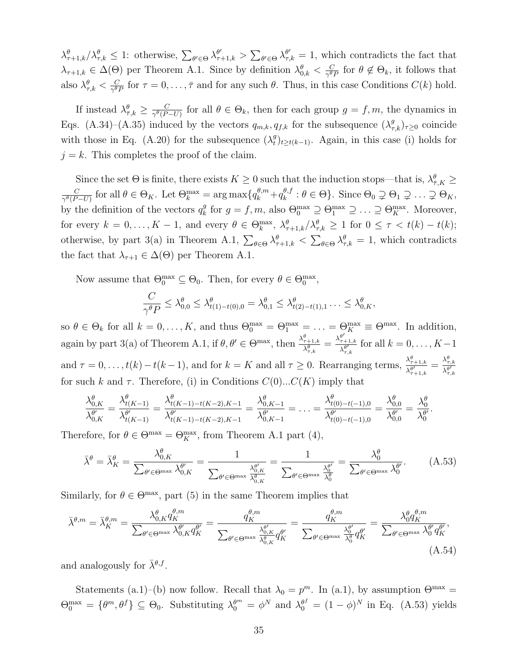$\lambda_{\tau+1,k}^{\theta}/\lambda_{\tau,k}^{\theta} \leq 1$ : otherwise,  $\sum_{\theta' \in \Theta} \lambda_{\tau+1,k}^{\theta'} > \sum_{\theta' \in \Theta} \lambda_{\tau,k}^{\theta'} = 1$ , which contradicts the fact that  $\lambda_{\tau+1,k} \in \Delta(\Theta)$  per Theorem A.1. Since by definition  $\lambda_{0,k}^{\theta} < \frac{C}{\gamma^{\theta}}$  $\frac{C}{\gamma^{\theta}P}$  for  $\theta \notin \Theta_k$ , it follows that also  $\lambda_{\tau,k}^{\theta} < \frac{C}{\gamma^{\theta}}$  $\frac{C}{\gamma^{\theta}P}$  for  $\tau = 0, \ldots, \bar{\tau}$  and for any such  $\theta$ . Thus, in this case Conditions  $C(k)$  hold.

If instead  $\lambda_{\bar{\tau},k}^{\theta} \geq \frac{C}{\gamma^{\theta}(P)}$  $\frac{C}{\gamma^{\theta}(P-U)}$  for all  $\theta \in \Theta_k$ , then for each group  $g = f, m$ , the dynamics in Eqs. (A.34)–(A.35) induced by the vectors  $q_{m,k}, q_{f,k}$  for the subsequence  $(\lambda_{\tau,k}^g)_{\tau\geq0}$  coincide with those in Eq. (A.20) for the subsequence  $(\lambda_t^g)$  $_{t}^{g}$ <sub>t</sub> $_{t\geq t(k-1)}$ . Again, in this case (i) holds for  $j = k$ . This completes the proof of the claim.

Since the set  $\Theta$  is finite, there exists  $K \geq 0$  such that the induction stops—that is,  $\lambda_{\bar{\tau},K}^{\theta} \geq$  $\overline{C}$  $\frac{C}{\gamma^{\theta}(P-U)}$  for all  $\theta \in \Theta_K$ . Let  $\Theta_k^{\max} = \arg \max \{q_k^{\theta,m} + q_k^{\theta,f} \}$  $_{k}^{\theta,f}:\theta\in\Theta\}$ . Since  $\Theta_{0}\supsetneq\Theta_{1}\supsetneq\ldots\supsetneq\Theta_{K},$ by the definition of the vectors  $q_k^g$ <sup>g</sup> for  $g = f, m$ , also  $\Theta_0^{\max} \supseteq \Theta_1^{\max} \supseteq \ldots \supseteq \Theta_K^{\max}$ . Moreover, for every  $k = 0, \ldots, K - 1$ , and every  $\theta \in \Theta_k^{\max}$ ,  $\lambda_{\tau+1,k}^{\theta} / \lambda_{\tau,k}^{\theta} \geq 1$  for  $0 \leq \tau < t(k) - t(k)$ ; otherwise, by part 3(a) in Theorem A.1,  $\sum_{\theta \in \Theta} \lambda_{\tau+1,k}^{\theta} < \sum_{\theta \in \Theta} \lambda_{\tau,k}^{\theta} = 1$ , which contradicts the fact that  $\lambda_{\tau+1} \in \Delta(\Theta)$  per Theorem A.1.

Now assume that  $\Theta_0^{\max} \subseteq \Theta_0$ . Then, for every  $\theta \in \Theta_0^{\max}$ ,

$$
\frac{C}{\gamma^{\theta} P} \leq \lambda_{0,0}^{\theta} \leq \lambda_{t(1)-t(0),0}^{\theta} = \lambda_{0,1}^{\theta} \leq \lambda_{t(2)-t(1),1}^{\theta} \ldots \leq \lambda_{0,K}^{\theta},
$$

so  $\theta \in \Theta_k$  for all  $k = 0, ..., K$ , and thus  $\Theta_0^{\max} = \Theta_1^{\max} = ... = \Theta_K^{\max} \equiv \Theta^{\max}$ . In addition, again by part 3(a) of Theorem A.1, if  $\theta, \theta' \in \Theta^{\max}$ , then  $\frac{\lambda_{\tau+1,k}^{\theta}}{\lambda_{\tau,k}^{\theta}} = \frac{\lambda_{\tau}^{\theta'}}{\lambda_{\tau,k}^{\theta}}$  $^{\tau+1,k}$  $\frac{\tau+1,k}{\lambda_{\tau,k}^{\theta'}}$  for all  $k=0,\ldots,K-1$ and  $\tau = 0, \ldots, t(k) - t(k-1)$ , and for  $k = K$  and all  $\tau \geq 0$ . Rearranging terms,  $\frac{\lambda_{\tau+1,k}^{\theta}}{\lambda_{\tau}^{\theta}}$  $\frac{\lambda_{\tau+1,k}^{\theta}}{\lambda_{\tau+1,k}^{\theta'}}=\frac{\lambda_{\tau,k}^{\theta}}{\lambda_{\tau,k}^{\theta'}}$  $\overline{\lambda_{\tau,k}^{\theta'}}$ for such k and  $\tau$ . Therefore, (i) in Conditions  $C(0)...C(K)$  imply that

$$
\frac{\lambda_{0,K}^{\theta}}{\lambda_{0,K}^{\theta'}} = \frac{\lambda_{t(K-1)}^{\theta}}{\lambda_{t(K-1)}^{\theta'}} = \frac{\lambda_{t(K-1)-t(K-2),K-1}^{\theta}}{\lambda_{t(K-1)-t(K-2),K-1}^{\theta'}} = \frac{\lambda_{0,K-1}^{\theta}}{\lambda_{0,K-1}^{\theta'}} = \ldots = \frac{\lambda_{t(0)-t(-1),0}^{\theta}}{\lambda_{t(0)-t(-1),0}^{\theta'}} = \frac{\lambda_{0,0}^{\theta}}{\lambda_{0,0}^{\theta'}} = \frac{\lambda_{0}^{\theta}}{\lambda_{0}^{\theta'}}.
$$

Therefore, for  $\theta \in \Theta^{\max} = \Theta_K^{\max}$ , from Theorem A.1 part (4),

$$
\bar{\lambda}^{\theta} = \bar{\lambda}_K^{\theta} = \frac{\lambda_{0,K}^{\theta}}{\sum_{\theta' \in \Theta^{\max}} \lambda_{0,K}^{\theta'}} = \frac{1}{\sum_{\theta' \in \Theta^{\max}} \frac{\lambda_{0,K}^{\theta'}}{\lambda_{0,K}^{\theta}}} = \frac{1}{\sum_{\theta' \in \Theta^{\max}} \frac{\lambda_0^{\theta'}}{\lambda_0^{\theta}}} = \frac{\lambda_0^{\theta}}{\sum_{\theta' \in \Theta^{\max}} \lambda_0^{\theta'}}.
$$
(A.53)

Similarly, for  $\theta \in \Theta^{\max}$ , part (5) in the same Theorem implies that

$$
\bar{\lambda}^{\theta,m} = \bar{\lambda}_K^{\theta,m} = \frac{\lambda_{0,K}^{\theta} q_K^{\theta,m}}{\sum_{\theta' \in \Theta^{\max}} \lambda_{0,K}^{\theta'} q_K^{\theta'}} = \frac{q_K^{\theta,m}}{\sum_{\theta' \in \Theta^{\max}} \frac{\lambda_{0,K}^{\theta'} q_K^{\theta'}}{\lambda_{0,K}^{\theta'} q_K^{\theta'}}} = \frac{q_K^{\theta,m}}{\sum_{\theta' \in \Theta^{\max}} \frac{\lambda_0^{\theta'} q_K^{\theta'}}{\lambda_0^{\theta'} q_K^{\theta'}}} = \frac{\lambda_0^{\theta} q_K^{\theta,m}}{\sum_{\theta' \in \Theta^{\max}} \lambda_0^{\theta'} q_K^{\theta'}},\tag{A.54}
$$

and analogously for  $\bar{\lambda}^{\theta,f}$ .

Statements (a.1)–(b) now follow. Recall that  $\lambda_0 = p^m$ . In (a.1), by assumption  $\Theta^{\max}$  =  $\Theta_0^{\max} = {\theta^m, \theta^f} \subseteq \Theta_0$ . Substituting  $\lambda_0^{\theta^m} = {\phi^N}$  and  $\lambda_0^{\theta^f} = (1 - {\phi})^N$  in Eq. (A.53) yields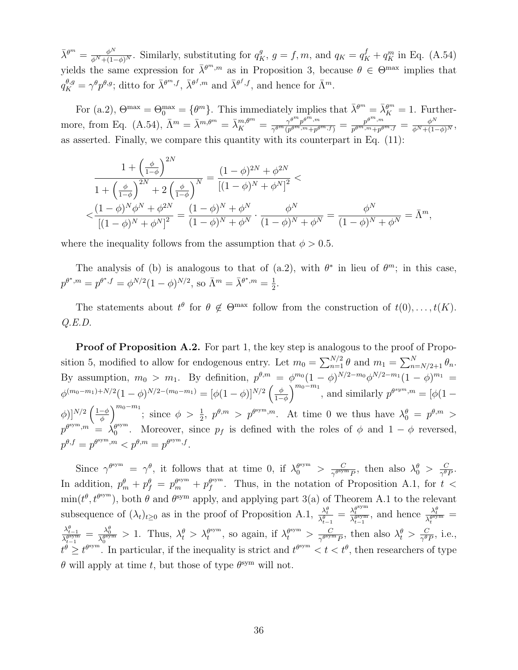$\bar{\lambda}^{\theta^m} = \frac{\phi^N}{\phi^N + (1-\phi)^N}$ . Similarly, substituting for  $q_K^g$ ,  $g = f, m$ , and  $q_K = q_K^f + q_K^m$  in Eq. (A.54) yields the same expression for  $\bar{\lambda}^{\theta^m,m}$  as in Proposition 3, because  $\theta \in \Theta^{\max}$  implies that  $q_K^{\theta,g} = \gamma^{\theta} p^{\theta,g}$ ; ditto for  $\bar{\lambda}^{\theta^m,f}$ ,  $\bar{\lambda}^{\theta^f,m}$  and  $\bar{\lambda}^{\theta^f,f}$ , and hence for  $\bar{\Lambda}^m$ .

For (a.2),  $\Theta^{\max} = \Theta_0^{\max} = {\theta^m}$ . This immediately implies that  $\bar{\lambda}^{\theta^m} = \bar{\lambda}_K^{\theta^m} = 1$ . Furthermore, from Eq. (A.54),  $\bar{\Lambda}^m = \bar{\lambda}^{m,\theta^m} = \bar{\lambda}_K^{m,\theta^m} = \frac{\gamma^{\theta^m} p^{\theta^m,m}}{\gamma^{\theta^m} (p^{\theta^m,m} + p^{\theta^m,m})}$  $\frac{\gamma^{\theta^m}p^{\theta^m,m}}{\gamma^{\theta^m}(p^{\theta^m,m}+p^{\theta^m,f})} = \frac{p^{\theta^m,m}}{p^{\theta^m,m}+p^\theta}$  $\frac{p^{\theta^m,m}}{p^{\theta^m,m}+p^{\theta^m,f}}=\frac{\phi^N}{\phi^N+(1-\phi)^N},$ as asserted. Finally, we compare this quantity with its counterpart in Eq. (11):

$$
\frac{1 + \left(\frac{\phi}{1-\phi}\right)^{2N}}{1 + \left(\frac{\phi}{1-\phi}\right)^{2N} + 2\left(\frac{\phi}{1-\phi}\right)^N} = \frac{(1-\phi)^{2N} + \phi^{2N}}{[(1-\phi)^N + \phi^N]^2} < \frac{(1-\phi)^N \phi^N + \phi^{2N}}{[(1-\phi)^N + \phi^N]^2} = \frac{(1-\phi)^N + \phi^N}{(1-\phi)^N + \phi^N} \cdot \frac{\phi^N}{(1-\phi)^N + \phi^N} = \frac{\phi^N}{(1-\phi)^N + \phi^N} = \bar{\Lambda}^m,
$$

where the inequality follows from the assumption that  $\phi > 0.5$ .

The analysis of (b) is analogous to that of (a.2), with  $\theta^*$  in lieu of  $\theta^m$ ; in this case,  $p^{\theta^*,m} = p^{\theta^*,f} = \phi^{N/2} (1-\phi)^{N/2}, \text{ so } \bar{\Lambda}^m = \bar{\lambda}^{\theta^*,m} = \frac{1}{2}$  $\frac{1}{2}$ .

The statements about  $t^{\theta}$  for  $\theta \notin \Theta^{\max}$  follow from the construction of  $t(0), \ldots, t(K)$ .  $Q.E.D.$ 

**Proof of Proposition A.2.** For part 1, the key step is analogous to the proof of Proposition 5, modified to allow for endogenous entry. Let  $m_0 = \sum_{n=1}^{N/2} \theta$  and  $m_1 = \sum_{n=N/2+1}^{N} \theta_n$ . By assumption,  $m_0 > m_1$ . By definition,  $p^{\theta,m} = \phi^{m_0} (1-\phi)^{N/2-m_0} \phi^{N/2-m_1} (1-\phi)^{m_1} =$  $\phi^{(m_0-m_1)+N/2}(1-\phi)^{N/2-(m_0-m_1)}=[\phi(1-\phi)]^{N/2}\left(\frac{\phi}{1-\phi}\right)$  $\left(\frac{\phi}{1-\phi}\right)^{m_0-m_1}$ , and similarly  $p^{\theta^{sym},m} = [\phi(1-\phi)]$  $(\phi)|^{N/2} \left( \frac{1-\phi}{\phi} \right)$  $\left(\frac{-\phi}{\phi}\right)^{m_0-m_1};$  since  $\phi > \frac{1}{2}, p^{\theta,m} > p^{\theta \text{sym},m}$ . At time 0 we thus have  $\lambda_0^{\theta} = p^{\theta,m} >$  $p^{\theta^{\text{sym}},m} = \hat{\lambda}_0^{\theta^{\text{sym}}}$  $\theta_0^{\text{sym}}$ . Moreover, since  $p_f$  is defined with the roles of  $\phi$  and  $1-\phi$  reversed,  $p^{\theta,f} = p^{\theta^{\text{sym}},m} < p^{\theta,m} = p^{\theta^{\text{sym}},f}.$ 

Since  $\gamma^{\theta \text{sym}} = \gamma^{\theta}$ , it follows that at time 0, if  $\lambda_0^{\theta \text{sym}} > \frac{C}{\gamma^{\theta \text{sym}}}$  $\frac{C}{\gamma^{\theta}}$ , then also  $\lambda_0^{\theta} > \frac{C}{\gamma^{\theta}}$ .  $\frac{C}{\gamma^{\theta}P}.$ In addition,  $p_m^{\theta} + p_f^{\theta} = p_m^{\theta^{sym}} + p_f^{\theta^{sym}}$  $f_f^{\text{sym}}$ . Thus, in the notation of Proposition A.1, for  $t <$  $\min(t^{\theta}, t^{\theta \text{sym}})$ , both  $\theta$  and  $\theta^{\text{sym}}$  apply, and applying part 3(a) of Theorem A.1 to the relevant subsequence of  $(\lambda_t)_{t\geq 0}$  as in the proof of Proposition A.1,  $\frac{\lambda_t^{\theta}}{\lambda_{t-1}^{\theta}} = \frac{\lambda_t^{\theta^{sym}}}{\lambda_{t-1}^{\theta^{sym}}}$ , and hence  $\frac{\lambda_t^{\theta}}{\lambda_t^{\theta^{sym}}}$  $\frac{\lambda_{t-1}^{\theta}}{\lambda_{t-1}^{\theta}} = \frac{\lambda_0^{\theta}}{\lambda_0^{\theta}} > 1$ . Thus,  $\lambda_t^{\theta} > \lambda_t^{\theta^{\text{sym}}}$  $t_t^{\text{sym}}$ , so again, if  $\lambda_t^{\theta^{\text{sym}}} > \frac{C}{\gamma^{\theta^{\text{sym}}}}$  $\frac{C}{\gamma^{\theta}}$ , then also  $\lambda_t^{\theta} > \frac{C}{\gamma^{\theta}}$ .  $\frac{C}{\gamma^{\theta}P}$ , i.e.,  $t^{\theta} \ge t^{\theta^{sym}}$ . In particular, if the inequality is strict and  $t^{\theta^{sym}} < t < t^{\theta}$ , then researchers of type  $\theta$  will apply at time t, but those of type  $\theta^{\text{sym}}$  will not.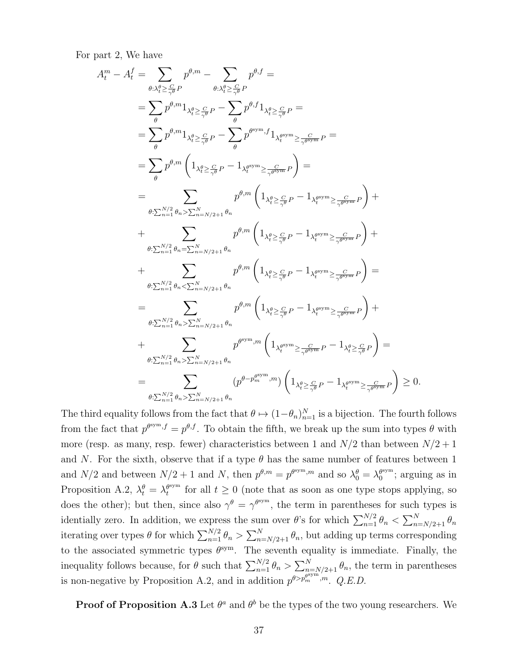For part 2, We have

$$
A_t^m - A_t^f = \sum_{\theta:\lambda_t^{\rho} \geq \frac{C}{\gamma}\theta} p^{\theta,m} - \sum_{\theta:\lambda_t^{\rho} \geq \frac{C}{\gamma}\theta} p^{\theta,f} =
$$
\n
$$
= \sum_{\theta} p^{\theta,m} 1_{\lambda_t^{\rho} \geq \frac{C}{\gamma\theta}} p - \sum_{\theta} p^{\theta,f} 1_{\lambda_t^{\rho} \geq \frac{C}{\gamma\theta}} p =
$$
\n
$$
= \sum_{\theta} p^{\theta,m} 1_{\lambda_t^{\rho} \geq \frac{C}{\gamma\theta}} p - \sum_{\theta} p^{\theta^{sym},f} 1_{\lambda_t^{\theta^{sym}} \geq \frac{C}{\gamma^{\theta^{sym}}} P} =
$$
\n
$$
= \sum_{\theta} p^{\theta,m} \left( 1_{\lambda_t^{\rho} \geq \frac{C}{\gamma}\theta} p - 1_{\lambda_t^{\rho^{sym}} \geq \frac{C}{\gamma^{\theta^{sym}}} P} \right) =
$$
\n
$$
= \sum_{\theta:\sum_{n=1}^{N/2} \theta_n \geq \sum_{n=N/2+1}^{N} \theta_n} p^{\theta,m} \left( 1_{\lambda_t^{\rho} \geq \frac{C}{\gamma\theta} P} - 1_{\lambda_t^{\rho^{sym}} \geq \frac{C}{\gamma^{\theta^{sym}}} P} \right) +
$$
\n
$$
+ \sum_{\theta:\sum_{n=1}^{N/2} \theta_n \geq \sum_{n=N/2+1}^{N} \theta_n} p^{\theta,m} \left( 1_{\lambda_t^{\rho} \geq \frac{C}{\gamma\theta} P} - 1_{\lambda_t^{\rho^{sym}} \geq \frac{C}{\gamma^{\theta^{sym}}} P} \right) +
$$
\n
$$
+ \sum_{\theta:\sum_{n=1}^{N/2} \theta_n \geq \sum_{n=N/2+1}^{N} \theta_n} p^{\theta,m} \left( 1_{\lambda_t^{\rho} \geq \frac{C}{\gamma\theta} P} - 1_{\lambda_t^{\rho^{sym}} \geq \frac{C}{\gamma^{\theta^{sym}}} P} \right) +
$$
\n
$$
+ \sum_{\theta:\sum_{n=1}^{N/2} \theta_n \geq \sum_{n=N/2+1}^{N} \theta_n} p^{\theta^{sym},m} \
$$

The third equality follows from the fact that  $\theta \mapsto (1-\theta_n)_{n=1}^N$  is a bijection. The fourth follows from the fact that  $p^{\theta sym, f} = p^{\theta, f}$ . To obtain the fifth, we break up the sum into types  $\theta$  with more (resp. as many, resp. fewer) characteristics between 1 and  $N/2$  than between  $N/2 + 1$ and N. For the sixth, observe that if a type  $\theta$  has the same number of features between 1 and  $N/2$  and between  $N/2 + 1$  and N, then  $p^{\theta,m} = p^{\theta^{sym},m}$  and so  $\lambda_0^{\theta} = \lambda_0^{\theta^{sym}}$  $\binom{\theta^{\text{sym}}}{0}$ ; arguing as in Proposition A.2,  $\lambda_t^{\theta} = \lambda_t^{\theta^{sym}}$  $t_t^{\text{sym}}$  for all  $t \geq 0$  (note that as soon as one type stops applying, so does the other); but then, since also  $\gamma^{\theta} = \gamma^{\theta \text{sym}}$ , the term in parentheses for such types is identially zero. In addition, we express the sum over  $\theta$ 's for which  $\sum_{n=1}^{N/2} \theta_n < \sum_{n=N/2+1}^{N} \theta_n$ iterating over types  $\theta$  for which  $\sum_{n=1}^{N/2} \theta_n > \sum_{n=N/2+1}^{N} \theta_n$ , but adding up terms corresponding to the associated symmetric types  $\theta^{sym}$ . The seventh equality is immediate. Finally, the inequality follows because, for  $\theta$  such that  $\sum_{n=1}^{N/2} \theta_n > \sum_{n=N/2+1}^{N} \theta_n$ , the term in parentheses is non-negative by Proposition A.2, and in addition  $p^{\theta > p_m^{\theta \text{sym}}}, m$ . Q.E.D.

**Proof of Proposition A.3** Let  $\theta^a$  and  $\theta^b$  be the types of the two young researchers. We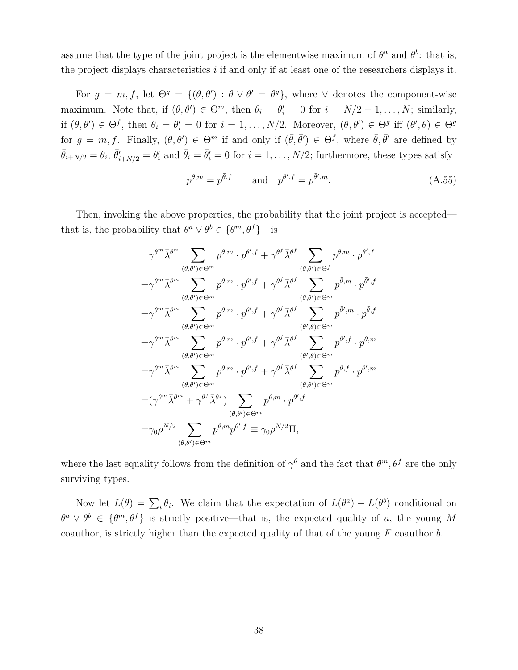assume that the type of the joint project is the elementwise maximum of  $\theta^a$  and  $\theta^b$ : that is, the project displays characteristics  $i$  if and only if at least one of the researchers displays it.

For  $g = m, f$ , let  $\Theta^g = \{(\theta, \theta') : \theta \vee \theta' = \theta^g\}$ , where  $\vee$  denotes the component-wise maximum. Note that, if  $(\theta, \theta') \in \Theta^m$ , then  $\theta_i = \theta'_i = 0$  for  $i = N/2 + 1, \ldots, N$ ; similarly, if  $(\theta, \theta') \in \Theta^f$ , then  $\theta_i = \theta'_i = 0$  for  $i = 1, ..., N/2$ . Moreover,  $(\theta, \theta') \in \Theta^g$  iff  $(\theta', \theta) \in \Theta^g$ for  $g = m, f$ . Finally,  $(\theta, \theta') \in \Theta^m$  if and only if  $(\bar{\theta}, \bar{\theta}') \in \Theta^f$ , where  $\bar{\theta}, \bar{\theta}'$  are defined by  $\bar{\theta}_{i+N/2} = \theta_i$ ,  $\bar{\theta}'_{i+N/2} = \theta'_i$  and  $\bar{\theta}_i = \bar{\theta}'_i = 0$  for  $i = 1, \ldots, N/2$ ; furthermore, these types satisfy

$$
p^{\theta,m} = p^{\bar{\theta},f} \qquad \text{and} \quad p^{\theta',f} = p^{\bar{\theta}',m}.\tag{A.55}
$$

Then, invoking the above properties, the probability that the joint project is accepted that is, the probability that  $\theta^a \vee \theta^b \in {\theta^m, \theta^f}$  is

$$
\gamma^{\theta^{m}} \bar{\lambda}^{\theta^{m}} \sum_{(\theta,\theta') \in \Theta^{m}} p^{\theta,m} \cdot p^{\theta',f} + \gamma^{\theta^{f}} \bar{\lambda}^{\theta^{f}} \sum_{(\theta,\theta') \in \Theta^{f}} p^{\theta,m} \cdot p^{\theta',f}
$$
\n
$$
= \gamma^{\theta^{m}} \bar{\lambda}^{\theta^{m}} \sum_{(\theta,\theta') \in \Theta^{m}} p^{\theta,m} \cdot p^{\theta',f} + \gamma^{\theta^{f}} \bar{\lambda}^{\theta^{f}} \sum_{(\theta,\theta') \in \Theta^{m}} p^{\bar{\theta},m} \cdot p^{\bar{\theta}',f}
$$
\n
$$
= \gamma^{\theta^{m}} \bar{\lambda}^{\theta^{m}} \sum_{(\theta,\theta') \in \Theta^{m}} p^{\theta,m} \cdot p^{\theta',f} + \gamma^{\theta^{f}} \bar{\lambda}^{\theta^{f}} \sum_{(\theta',\theta) \in \Theta^{m}} p^{\bar{\theta}',m} \cdot p^{\bar{\theta},f}
$$
\n
$$
= \gamma^{\theta^{m}} \bar{\lambda}^{\theta^{m}} \sum_{(\theta,\theta') \in \Theta^{m}} p^{\theta,m} \cdot p^{\theta',f} + \gamma^{\theta^{f}} \bar{\lambda}^{\theta^{f}} \sum_{(\theta',\theta) \in \Theta^{m}} p^{\theta',f} \cdot p^{\theta,m}
$$
\n
$$
= \gamma^{\theta^{m}} \bar{\lambda}^{\theta^{m}} \sum_{(\theta,\theta') \in \Theta^{m}} p^{\theta,m} \cdot p^{\theta',f} + \gamma^{\theta^{f}} \bar{\lambda}^{\theta^{f}} \sum_{(\theta,\theta') \in \Theta^{m}} p^{\theta,f} \cdot p^{\theta',m}
$$
\n
$$
= (\gamma^{\theta^{m}} \bar{\lambda}^{\theta^{m}} + \gamma^{\theta^{f}} \bar{\lambda}^{\theta^{f}}) \sum_{(\theta,\theta') \in \Theta^{m}} p^{\theta,m} \cdot p^{\theta',f}
$$
\n
$$
= \gamma_0 \rho^{N/2} \sum_{(\theta,\theta') \in \Theta^{m}} p^{\theta,m} p^{\theta',f} \equiv \gamma_0 \rho^{N/2} \Pi,
$$

where the last equality follows from the definition of  $\gamma^{\theta}$  and the fact that  $\theta^{m}, \theta^{f}$  are the only surviving types.

Now let  $L(\theta) = \sum_i \theta_i$ . We claim that the expectation of  $L(\theta^a) - L(\theta^b)$  conditional on  $\theta^a \vee \theta^b \in {\theta^m, \theta^f}$  is strictly positive—that is, the expected quality of a, the young M coauthor, is strictly higher than the expected quality of that of the young  $F$  coauthor  $b$ .